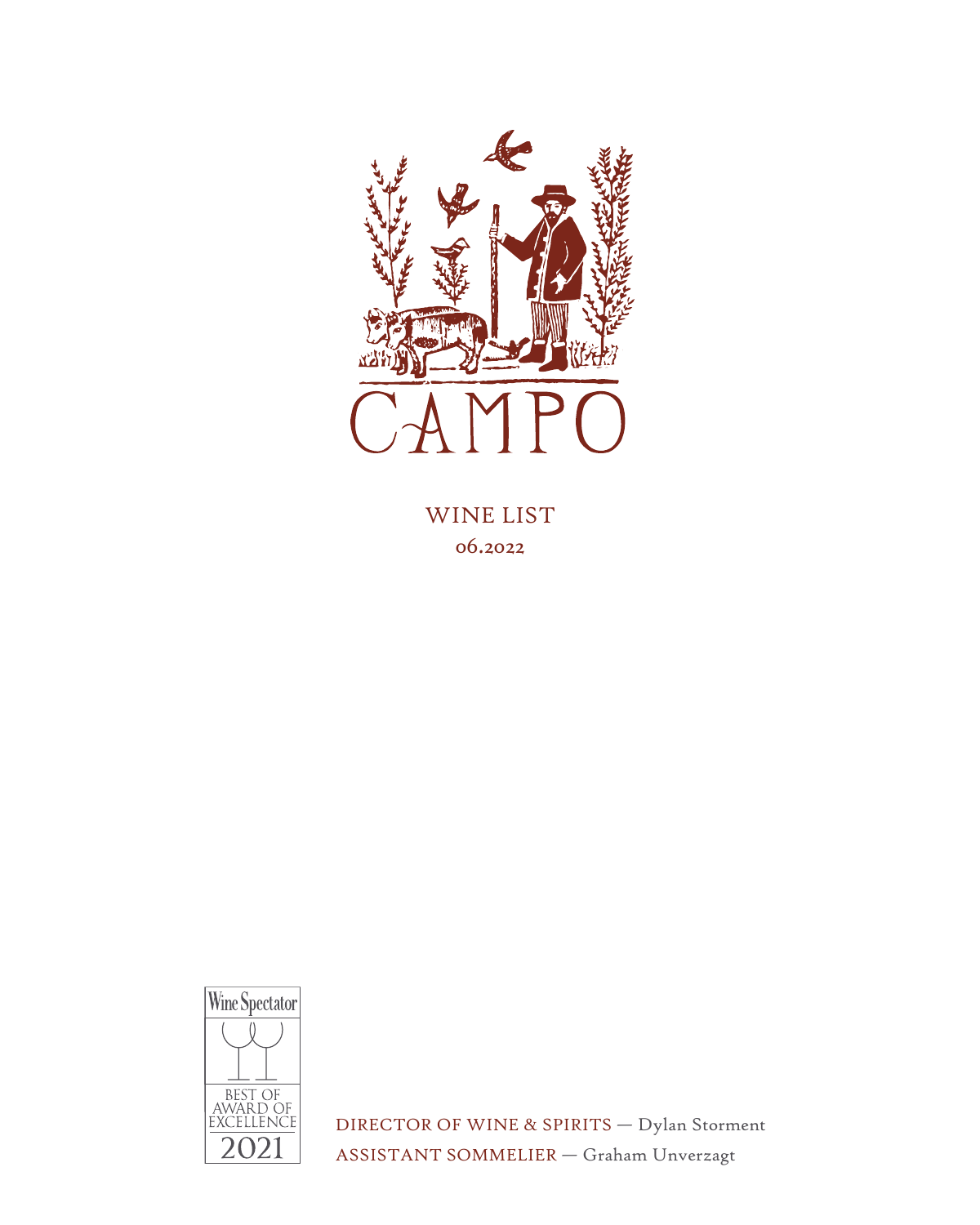

WINE LIST 06.2022



DIRECTOR OF WINE & SPIRITS — Dylan Storment ASSISTANT SOMMELIER — Graham Unverzagt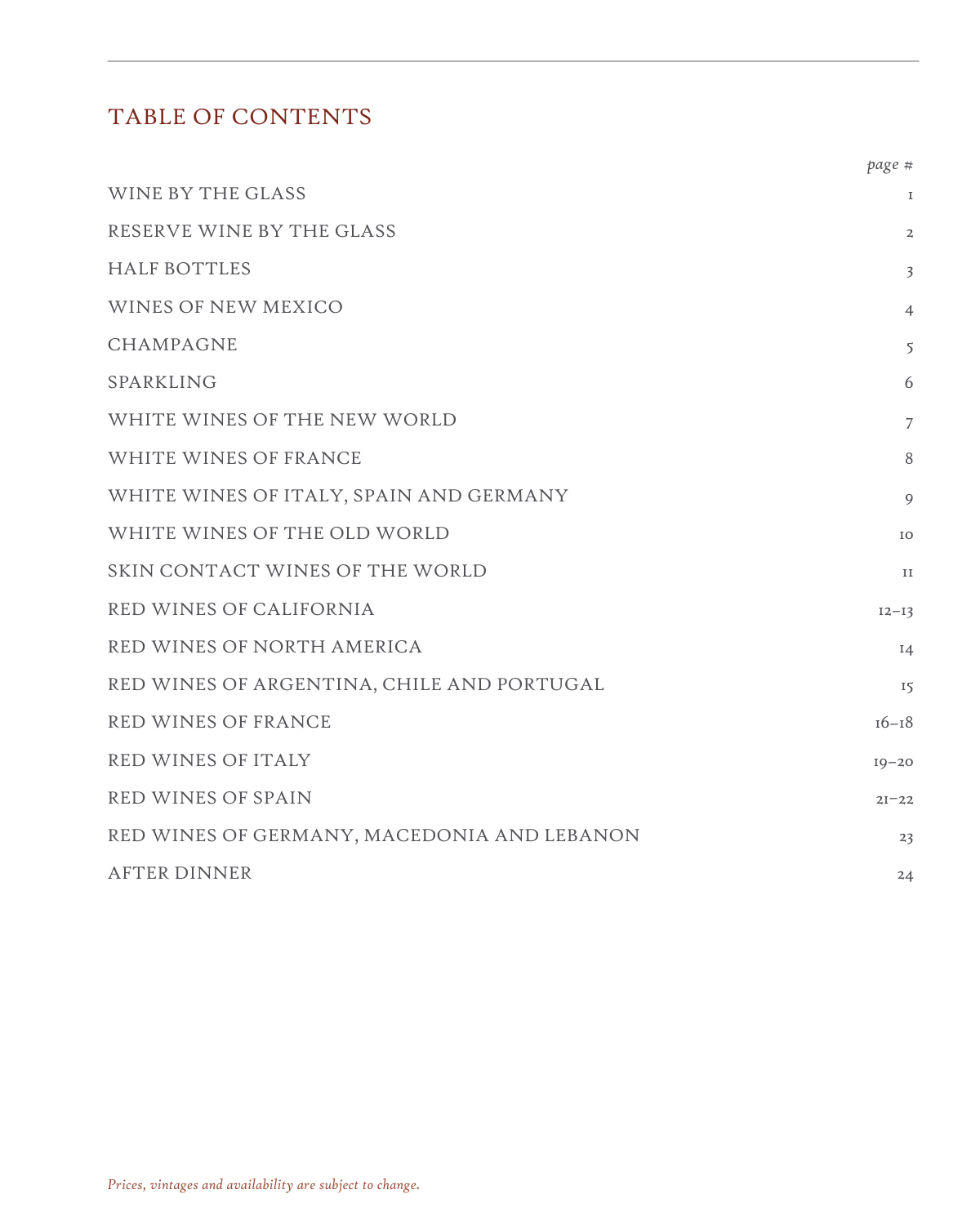## TABLE OF CONTENTS

|                                             | page #         |
|---------------------------------------------|----------------|
| WINE BY THE GLASS                           | $\mathbf I$    |
| RESERVE WINE BY THE GLASS                   | $\overline{a}$ |
| <b>HALF BOTTLES</b>                         | $\overline{3}$ |
| WINES OF NEW MEXICO                         | $\overline{4}$ |
| <b>CHAMPAGNE</b>                            | 5              |
| SPARKLING                                   | 6              |
| WHITE WINES OF THE NEW WORLD                | $\overline{7}$ |
| WHITE WINES OF FRANCE                       | 8              |
| WHITE WINES OF ITALY, SPAIN AND GERMANY     | 9              |
| WHITE WINES OF THE OLD WORLD                | IO             |
| SKIN CONTACT WINES OF THE WORLD             | II             |
| RED WINES OF CALIFORNIA                     | $12 - 13$      |
| RED WINES OF NORTH AMERICA                  | $I_4$          |
| RED WINES OF ARGENTINA, CHILE AND PORTUGAL  | 15             |
| RED WINES OF FRANCE                         | $16 - 18$      |
| RED WINES OF ITALY                          | $19 - 20$      |
| RED WINES OF SPAIN                          | $2I - 22$      |
| RED WINES OF GERMANY, MACEDONIA AND LEBANON | 23             |
| <b>AFTER DINNER</b>                         | 24             |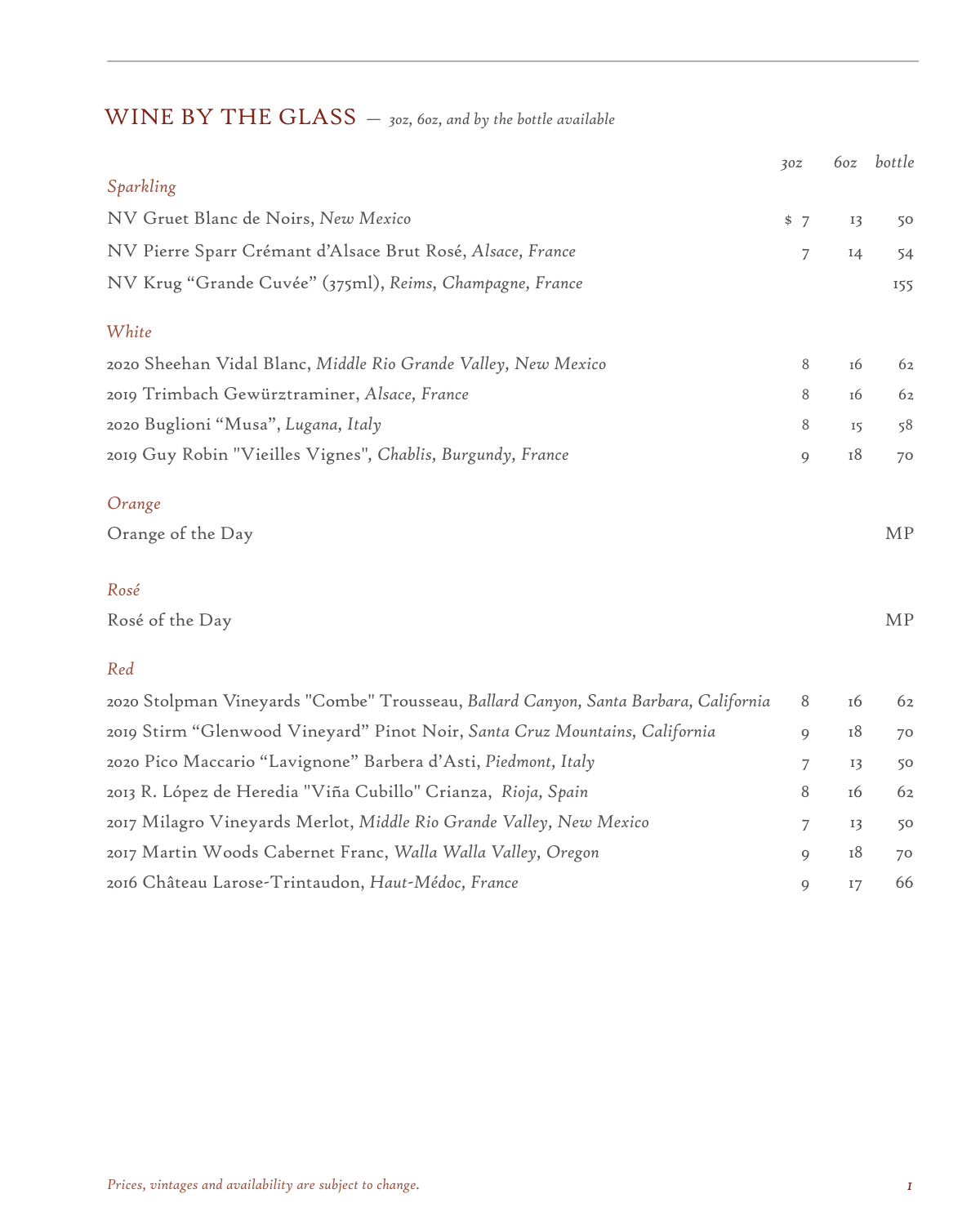# WINE BY THE GLASS *— 3oz, 6oz, and by the bottle available*

|                                                                                      | 30z | 6oz | bottle    |
|--------------------------------------------------------------------------------------|-----|-----|-----------|
| Sparkling                                                                            |     |     |           |
| NV Gruet Blanc de Noirs, New Mexico                                                  | \$7 | 13  | 50        |
| NV Pierre Sparr Crémant d'Alsace Brut Rosé, Alsace, France                           | 7   | I4  | 54        |
| NV Krug "Grande Cuvée" (375ml), Reims, Champagne, France                             |     |     | 155       |
| White                                                                                |     |     |           |
| 2020 Sheehan Vidal Blanc, Middle Rio Grande Valley, New Mexico                       | 8   | 16  | 62        |
| 2019 Trimbach Gewürztraminer, Alsace, France                                         | 8   | 16  | 62        |
| 2020 Buglioni "Musa", Lugana, Italy                                                  | 8   | 15  | 58        |
| 2019 Guy Robin "Vieilles Vignes", Chablis, Burgundy, France                          | 9   | 18  | 70        |
| Orange                                                                               |     |     |           |
| Orange of the Day                                                                    |     |     | <b>MP</b> |
| Rosé                                                                                 |     |     |           |
| Rosé of the Day                                                                      |     |     | <b>MP</b> |
| Red                                                                                  |     |     |           |
| 2020 Stolpman Vineyards "Combe" Trousseau, Ballard Canyon, Santa Barbara, California | 8   | 16  | 62        |
| 2019 Stirm "Glenwood Vineyard" Pinot Noir, Santa Cruz Mountains, California          | 9   | 18  | 70        |
| 2020 Pico Maccario "Lavignone" Barbera d'Asti, Piedmont, Italy                       | 7   | 13  | 50        |
| 2013 R. López de Heredia "Viña Cubillo" Crianza, Rioja, Spain                        | 8   | 16  | 62        |
| 2017 Milagro Vineyards Merlot, Middle Rio Grande Valley, New Mexico                  | 7   | 13  | 50        |
| 2017 Martin Woods Cabernet Franc, Walla Walla Valley, Oregon                         | 9   | 18  | 70        |
| 2016 Château Larose-Trintaudon, Haut-Médoc, France                                   | 9   | 17  | 66        |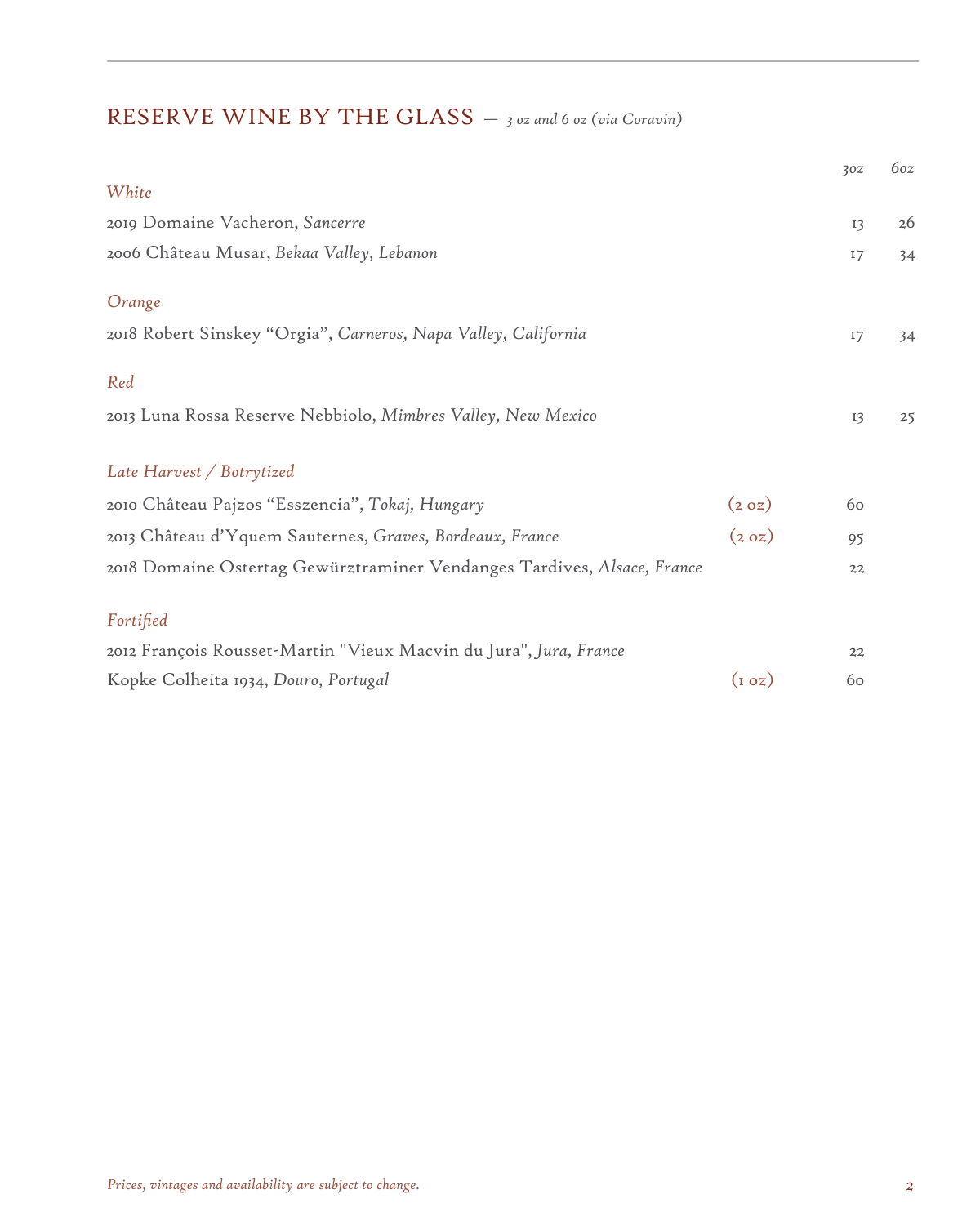# RESERVE WINE BY THE GLASS *— 3 oz and 6 oz (via Coravin)*

|                                                                         |                  | 30z | 6oz |
|-------------------------------------------------------------------------|------------------|-----|-----|
| White                                                                   |                  |     |     |
| 2019 Domaine Vacheron, Sancerre                                         |                  | 13  | 26  |
| 2006 Château Musar, Bekaa Valley, Lebanon                               |                  | 17  | 34  |
| Orange                                                                  |                  |     |     |
| 2018 Robert Sinskey "Orgia", Carneros, Napa Valley, California          |                  | 17  | 34  |
| Red                                                                     |                  |     |     |
| 2013 Luna Rossa Reserve Nebbiolo, Mimbres Valley, New Mexico            |                  | 13  | 25  |
| Late Harvest / Botrytized                                               |                  |     |     |
| 2010 Château Pajzos "Esszencia", Tokaj, Hungary                         | (2 0z)           | 60  |     |
| 2013 Château d'Yquem Sauternes, Graves, Bordeaux, France                | (2 0z)           | 95  |     |
| 2018 Domaine Ostertag Gewürztraminer Vendanges Tardives, Alsace, France |                  | 22  |     |
| Fortified                                                               |                  |     |     |
| 2012 François Rousset-Martin "Vieux Macvin du Jura", Jura, France       |                  | 22  |     |
| Kopke Colheita 1934, Douro, Portugal                                    | $(i \text{ oz})$ | 60  |     |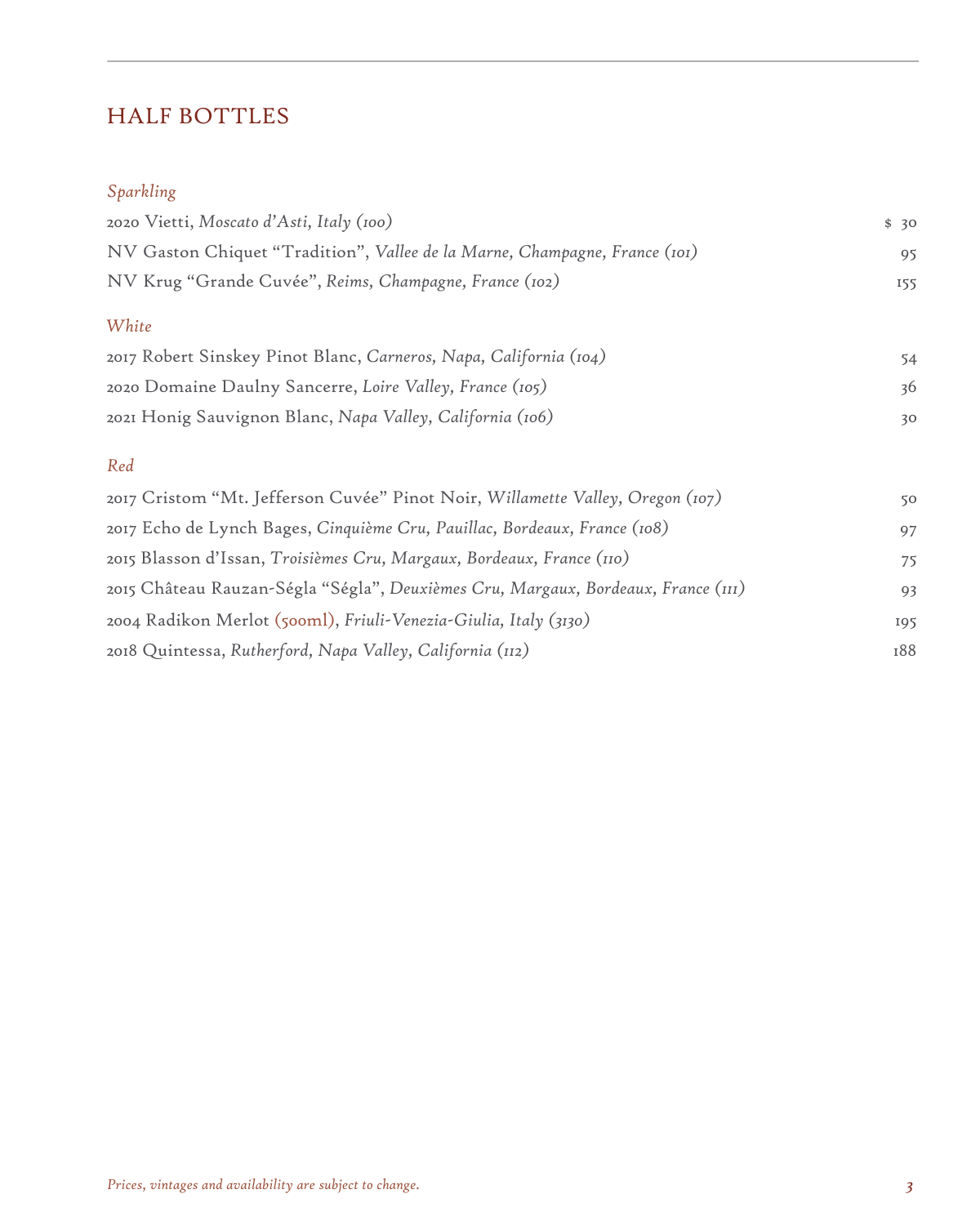# HALF BOTTLES

### *Sparkling*

| 2020 Vietti, Moscato d'Asti, Italy (100)                                                                                                                                                       | \$30            |
|------------------------------------------------------------------------------------------------------------------------------------------------------------------------------------------------|-----------------|
| NV Gaston Chiquet "Tradition", Vallee de la Marne, Champagne, France (101)                                                                                                                     | 95              |
| NV Krug "Grande Cuvée", Reims, Champagne, France (102)                                                                                                                                         | 155             |
| White                                                                                                                                                                                          |                 |
| 2017 Robert Sinskey Pinot Blanc, Carneros, Napa, California (104)                                                                                                                              | 54              |
| 2020 Domaine Daulny Sancerre, Loire Valley, France (105)                                                                                                                                       | 36              |
| 2021 Honig Sauvignon Blanc, Napa Valley, California (106)                                                                                                                                      | 30 <sup>°</sup> |
| Red                                                                                                                                                                                            |                 |
| 2017 Cristom "Mt. Jefferson Cuvée" Pinot Noir, Willamette Valley, Oregon (107)<br>$\pi$ 1 1 $\pi$ 1 $\pi$ 0 $\pi$ $\ldots$ 0 $\pi$ $\pi$ $\pi$ 1 $\pi$ 1 $\pi$ 1 $\pi$ $\pi$ $\pi$ $\pi$ $\pi$ | 50              |

| 2017 Echo de Lynch Bages, Cinquième Cru, Pauillac, Bordeaux, France (108)         | 97  |
|-----------------------------------------------------------------------------------|-----|
| 2015 Blasson d'Issan, Troisièmes Cru, Margaux, Bordeaux, France (110)             | 75  |
| 2015 Château Rauzan-Ségla "Ségla", Deuxièmes Cru, Margaux, Bordeaux, France (111) | 93  |
| 2004 Radikon Merlot (500ml), Friuli-Venezia-Giulia, Italy (3130)                  | 195 |
| 2018 Quintessa, Rutherford, Napa Valley, California (112)                         | 188 |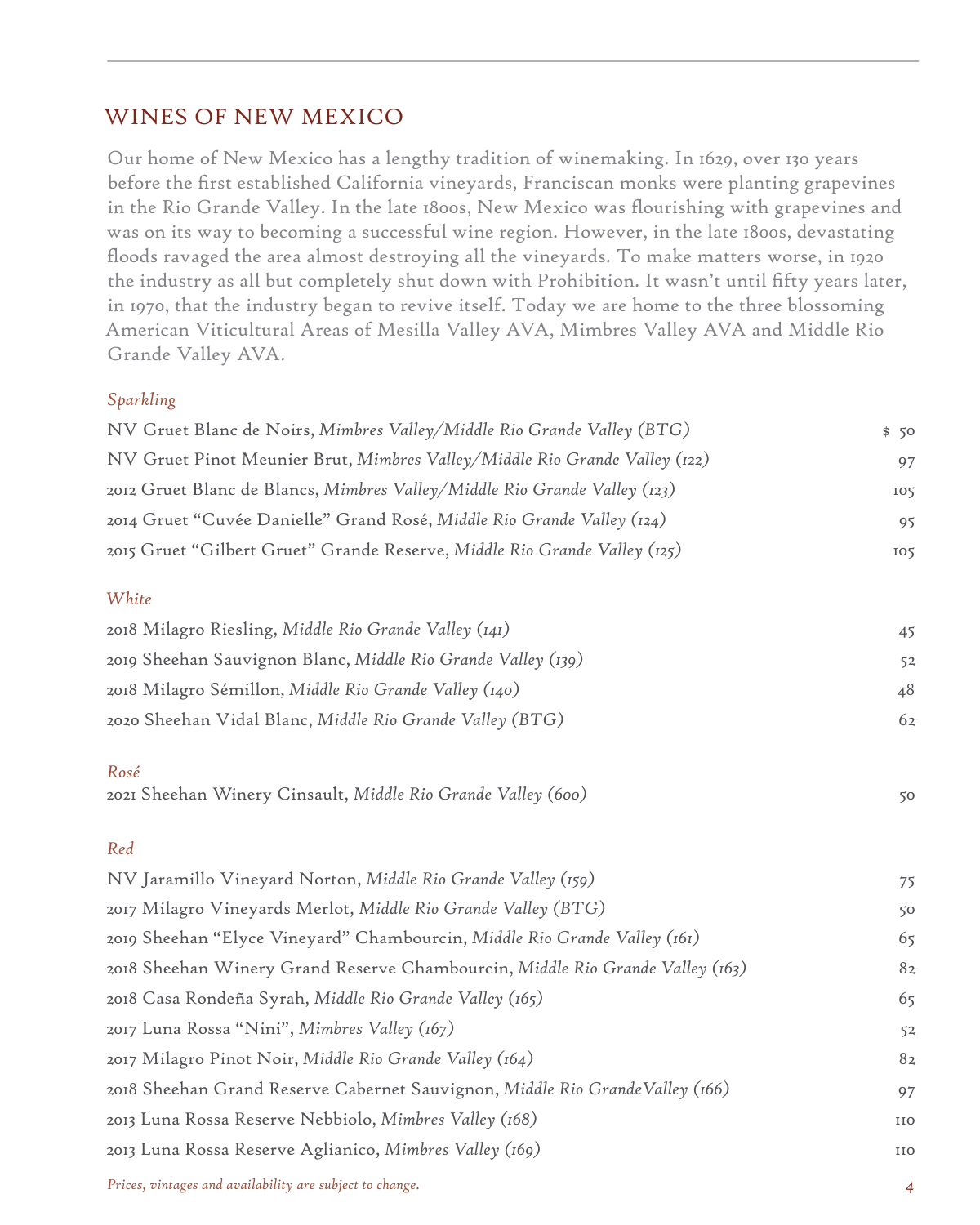### WINES OF NEW MEXICO

Our home of New Mexico has a lengthy tradition of winemaking. In 1629, over 130 years before the first established California vineyards, Franciscan monks were planting grapevines in the Rio Grande Valley. In the late 1800s, New Mexico was flourishing with grapevines and was on its way to becoming a successful wine region. However, in the late 1800s, devastating floods ravaged the area almost destroying all the vineyards. To make matters worse, in 1920 the industry as all but completely shut down with Prohibition. It wasn't until fifty years later, in 1970, that the industry began to revive itself. Today we are home to the three blossoming American Viticultural Areas of Mesilla Valley AVA, Mimbres Valley AVA and Middle Rio Grande Valley AVA.

#### *Sparkling*

| NV Gruet Blanc de Noirs, Mimbres Valley/Middle Rio Grande Valley (BTG)     | \$50 |
|----------------------------------------------------------------------------|------|
| NV Gruet Pinot Meunier Brut, Mimbres Valley/Middle Rio Grande Valley (122) | 97   |
| 2012 Gruet Blanc de Blancs, Mimbres Valley/Middle Rio Grande Valley (123)  | 105  |
| 2014 Gruet "Cuvée Danielle" Grand Rosé, Middle Rio Grande Valley (124)     | 95   |
| 2015 Gruet "Gilbert Gruet" Grande Reserve, Middle Rio Grande Valley (125)  | 105  |

#### *White*

| 2018 Milagro Riesling, Middle Rio Grande Valley (141)        | 45 |
|--------------------------------------------------------------|----|
| 2019 Sheehan Sauvignon Blanc, Middle Rio Grande Valley (139) | 52 |
| 2018 Milagro Sémillon, Middle Rio Grande Valley (140)        | 48 |
| 2020 Sheehan Vidal Blanc, Middle Rio Grande Valley (BTG)     | 62 |

#### *Rosé*

2021 Sheehan Winery Cinsault, *Middle Rio Grande Valley (600)* 50

#### *Red*

| NV Jaramillo Vineyard Norton, Middle Rio Grande Valley (159)                  | 75             |
|-------------------------------------------------------------------------------|----------------|
| 2017 Milagro Vineyards Merlot, Middle Rio Grande Valley (BTG)                 | 50             |
| 2019 Sheehan "Elyce Vineyard" Chambourcin, Middle Rio Grande Valley (161)     | 65             |
| 2018 Sheehan Winery Grand Reserve Chambourcin, Middle Rio Grande Valley (163) | 8 <sub>2</sub> |
| 2018 Casa Rondeña Syrah, Middle Rio Grande Valley (165)                       | 65             |
| 2017 Luna Rossa "Nini", Mimbres Valley (167)                                  | 52             |
| 2017 Milagro Pinot Noir, Middle Rio Grande Valley (164)                       | 82             |
| 2018 Sheehan Grand Reserve Cabernet Sauvignon, Middle Rio GrandeValley (166)  | 97             |
| 2013 Luna Rossa Reserve Nebbiolo, Mimbres Valley (168)                        | IIO            |
| 2013 Luna Rossa Reserve Aglianico, Mimbres Valley (169)                       | IIO            |
|                                                                               |                |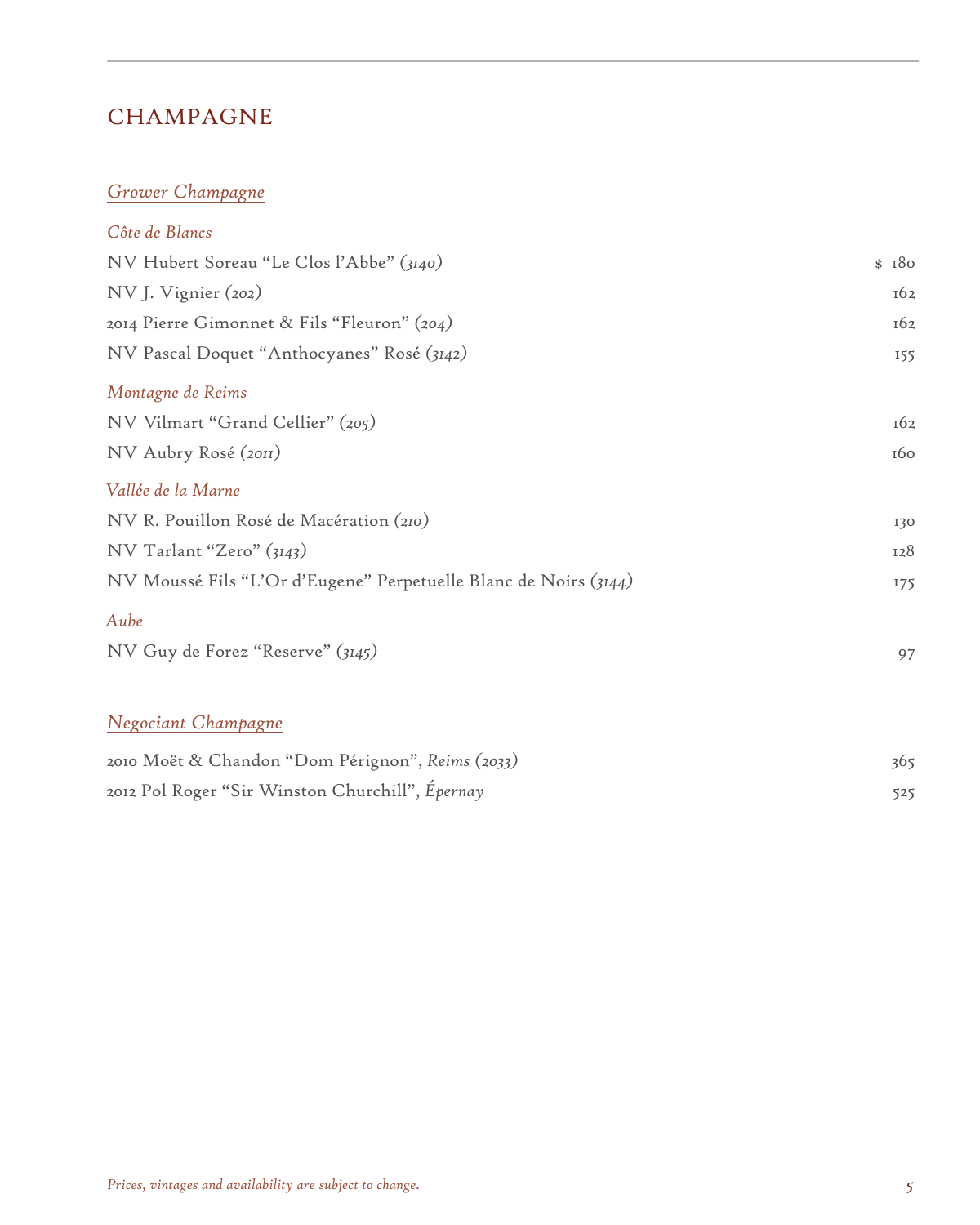### CHAMPAGNE

#### *Grower Champagne*

| Côte de Blancs                                                   |       |
|------------------------------------------------------------------|-------|
| NV Hubert Soreau "Le Clos l'Abbe" (3140)                         | \$180 |
| NV J. Vignier (202)                                              | 162   |
| 2014 Pierre Gimonnet & Fils "Fleuron" (204)                      | 162   |
| NV Pascal Doquet "Anthocyanes" Rosé (3142)                       | 155   |
| Montagne de Reims                                                |       |
| NV Vilmart "Grand Cellier" (205)                                 | 162   |
| NV Aubry Rosé (2011)                                             | 160   |
| Vallée de la Marne                                               |       |
| NV R. Pouillon Rosé de Macération (210)                          | 130   |
| NV Tarlant "Zero" (3143)                                         | 128   |
| NV Moussé Fils "L'Or d'Eugene" Perpetuelle Blanc de Noirs (3144) | 175   |
| Aube                                                             |       |
| NV Guy de Forez "Reserve" (3145)                                 | 97    |
|                                                                  |       |

### *Negociant Champagne*

| 2010 Moët & Chandon "Dom Pérignon", Reims (2033) | 365 |
|--------------------------------------------------|-----|
| 2012 Pol Roger "Sir Winston Churchill", Épernay  |     |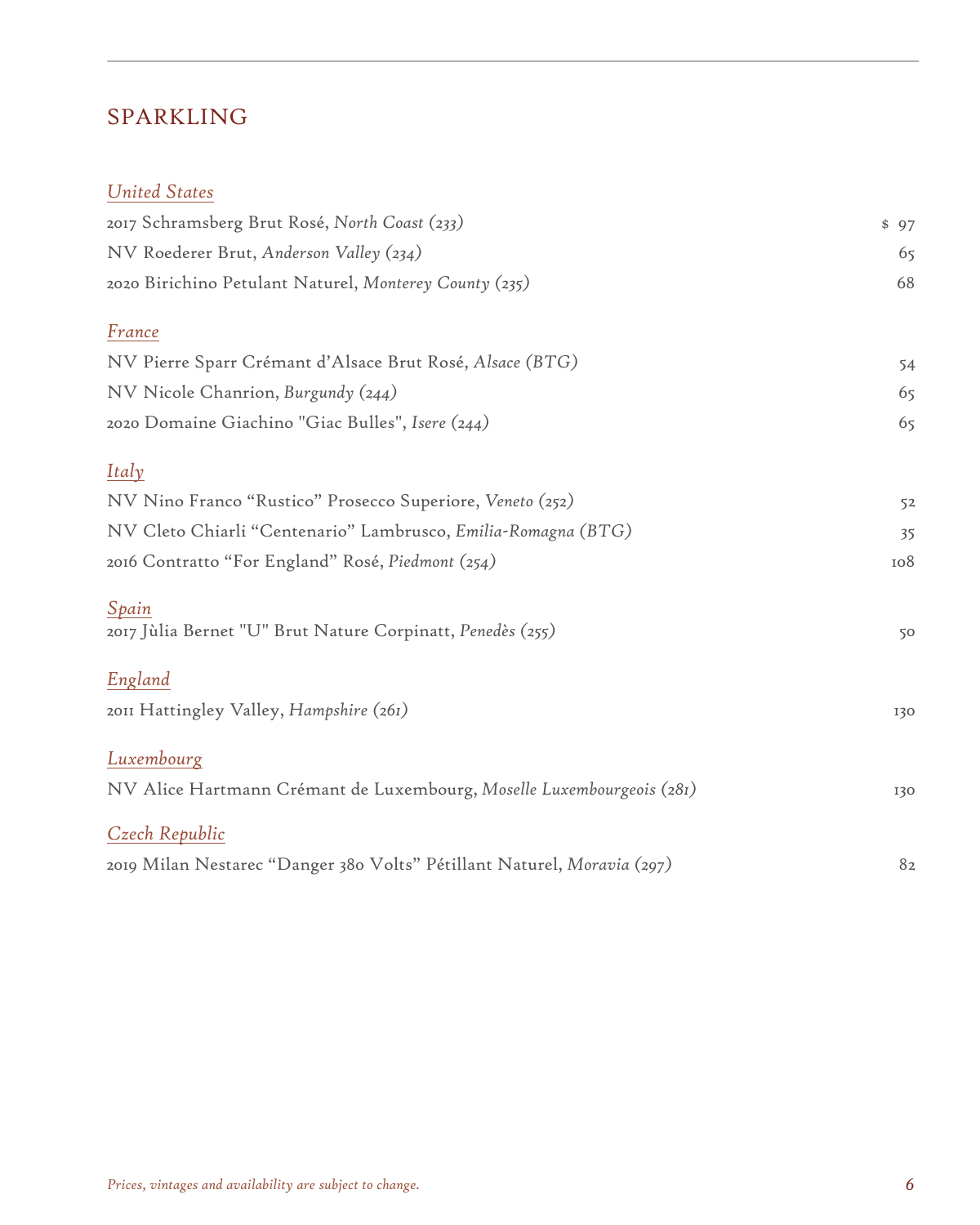### SPARKLING

### *United States*

| 2017 Schramsberg Brut Rosé, North Coast (233)                           | \$97          |
|-------------------------------------------------------------------------|---------------|
| NV Roederer Brut, Anderson Valley (234)                                 | 65            |
| 2020 Birichino Petulant Naturel, Monterey County (235)                  | 68            |
| France                                                                  |               |
| NV Pierre Sparr Crémant d'Alsace Brut Rosé, Alsace (BTG)                | 54            |
| NV Nicole Chanrion, Burgundy (244)                                      | 65            |
| 2020 Domaine Giachino "Giac Bulles", Isere (244)                        | 65            |
| Italy                                                                   |               |
| NV Nino Franco "Rustico" Prosecco Superiore, Veneto (252)               | 52            |
| NV Cleto Chiarli "Centenario" Lambrusco, Emilia-Romagna (BTG)           | 35            |
| 2016 Contratto "For England" Rosé, Piedmont (254)                       | 108           |
| Spain                                                                   |               |
| 2017 Jùlia Bernet "U" Brut Nature Corpinatt, Penedès (255)              | 50            |
| England                                                                 |               |
| 2011 Hattingley Valley, Hampshire (261)                                 | 130           |
| Luxembourg                                                              |               |
| NV Alice Hartmann Crémant de Luxembourg, Moselle Luxembourgeois (281)   | 130           |
| Czech Republic                                                          |               |
| 2019 Milan Nestarec "Danger 380 Volts" Pétillant Naturel, Moravia (297) | $8\mathrm{z}$ |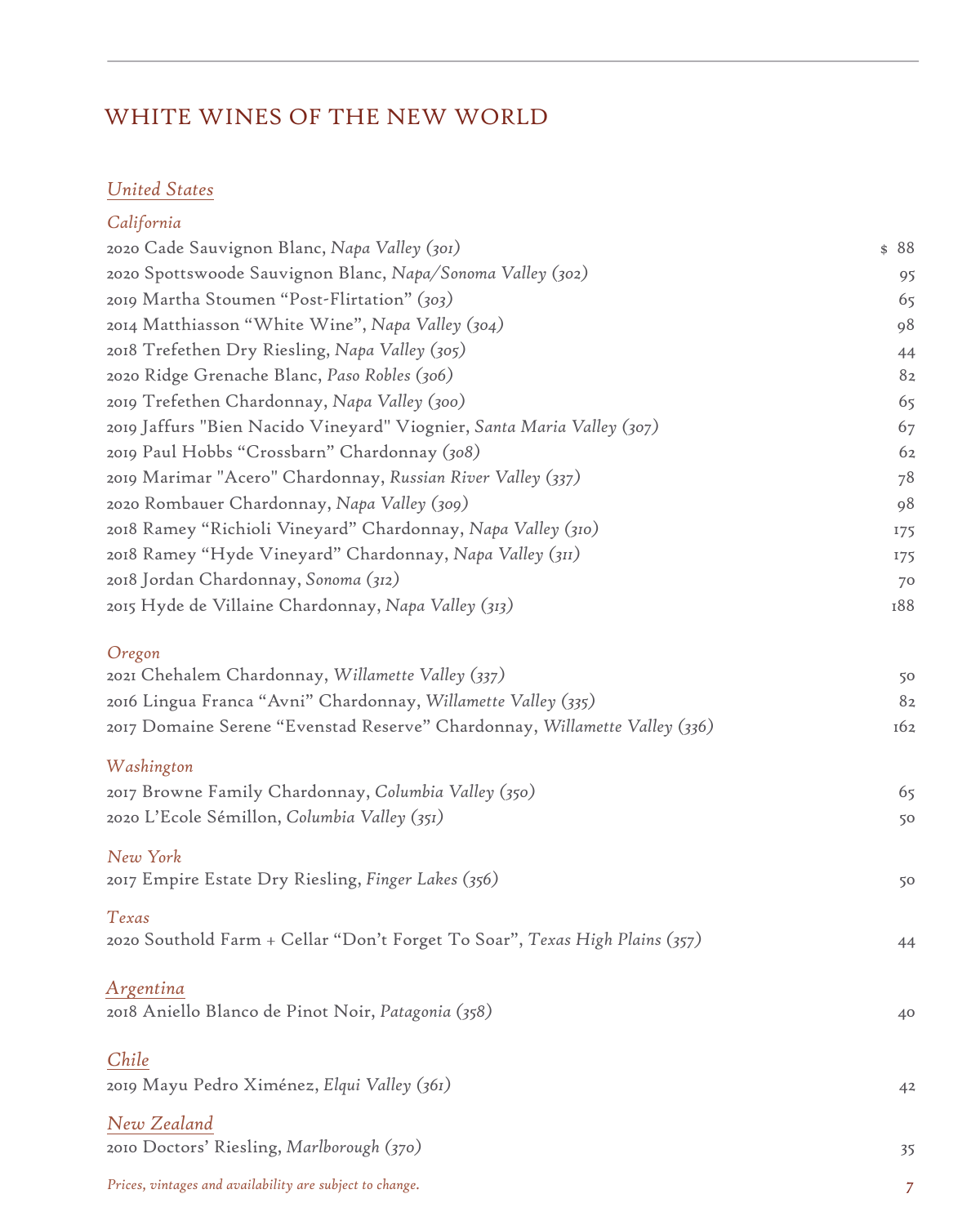### WHITE WINES OF THE NEW WORLD

### *United States*

### *California*

| 2020 Cade Sauvignon Blanc, Napa Valley (301)                                | \$88           |
|-----------------------------------------------------------------------------|----------------|
| 2020 Spottswoode Sauvignon Blanc, Napa/Sonoma Valley (302)                  | 95             |
| 2019 Martha Stoumen "Post-Flirtation" (303)                                 | 65             |
| 2014 Matthiasson "White Wine", Napa Valley (304)                            | 98             |
| 2018 Trefethen Dry Riesling, Napa Valley (305)                              | 44             |
| 2020 Ridge Grenache Blanc, Paso Robles (306)                                | 82             |
| 2019 Trefethen Chardonnay, Napa Valley (300)                                | 65             |
| 2019 Jaffurs "Bien Nacido Vineyard" Viognier, Santa Maria Valley (307)      | 67             |
| 2019 Paul Hobbs "Crossbarn" Chardonnay (308)                                | 62             |
| 2019 Marimar "Acero" Chardonnay, Russian River Valley (337)                 | 78             |
| 2020 Rombauer Chardonnay, Napa Valley (309)                                 | 98             |
| 2018 Ramey "Richioli Vineyard" Chardonnay, Napa Valley (310)                | 175            |
| 2018 Ramey "Hyde Vineyard" Chardonnay, Napa Valley (311)                    | 175            |
| 2018 Jordan Chardonnay, Sonoma (312)                                        | 70             |
| 2015 Hyde de Villaine Chardonnay, Napa Valley (313)                         | 188            |
|                                                                             |                |
| Oregon                                                                      |                |
| 2021 Chehalem Chardonnay, Willamette Valley (337)                           | 50             |
| 2016 Lingua Franca "Avni" Chardonnay, Willamette Valley (335)               | 82             |
| 2017 Domaine Serene "Evenstad Reserve" Chardonnay, Willamette Valley (336)  | 162            |
| Washington                                                                  |                |
| 2017 Browne Family Chardonnay, Columbia Valley (350)                        | 65             |
| 2020 L'Ecole Sémillon, Columbia Valley (351)                                | 50             |
|                                                                             |                |
| New York                                                                    |                |
| 2017 Empire Estate Dry Riesling, Finger Lakes (356)                         | 50             |
| Texas                                                                       |                |
| 2020 Southold Farm + Cellar "Don't Forget To Soar", Texas High Plains (357) | 44             |
|                                                                             |                |
| Argentina                                                                   |                |
| 2018 Aniello Blanco de Pinot Noir, Patagonia (358)                          | 40             |
|                                                                             |                |
| Chile                                                                       |                |
| 2019 Mayu Pedro Ximénez, Elqui Valley (361)                                 | 4 <sup>2</sup> |
| New Zealand                                                                 |                |
| 2010 Doctors' Riesling, Marlborough (370)                                   | 35             |
| Prices, vintages and availability are subject to change.                    | 7              |
|                                                                             |                |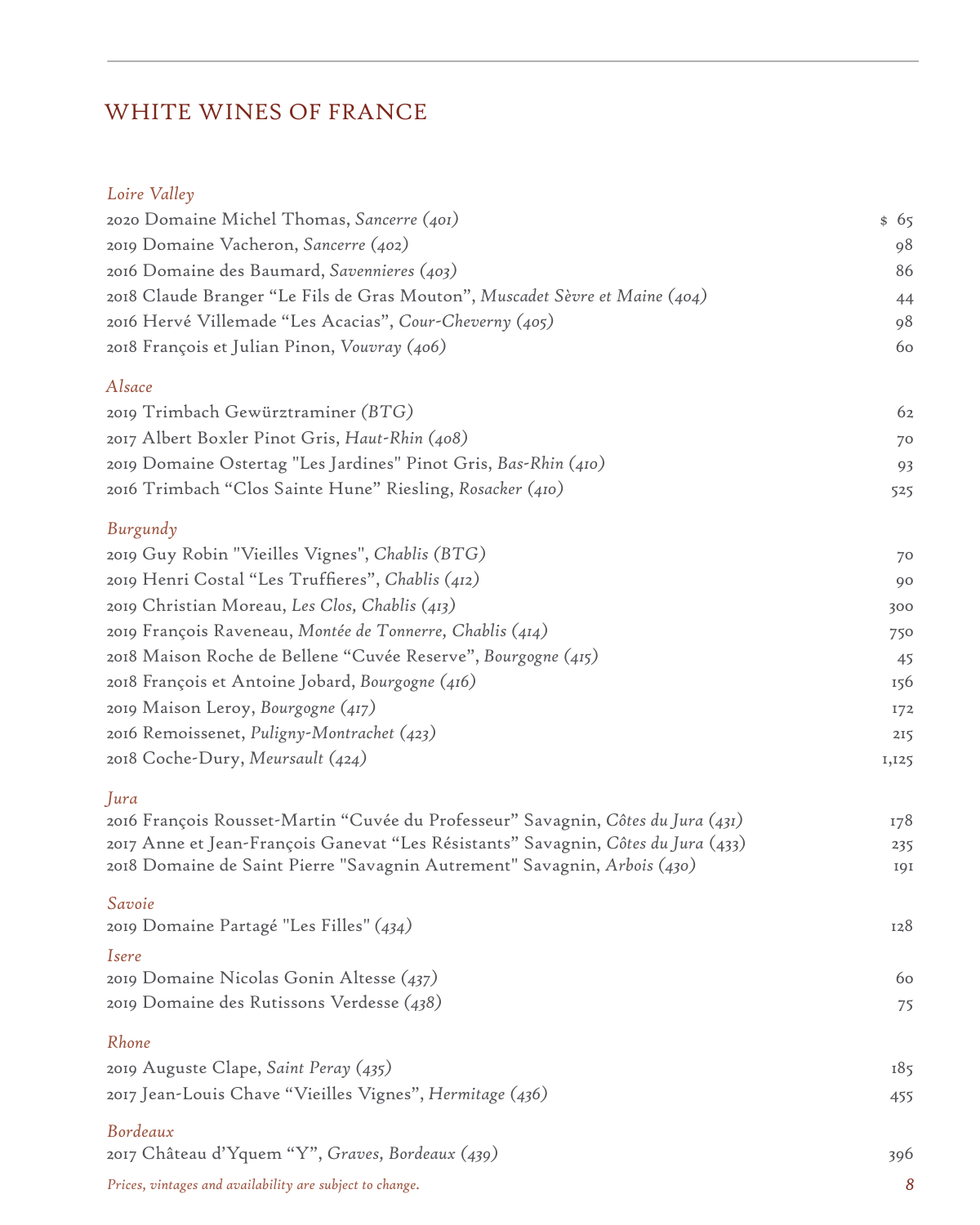# WHITE WINES OF FRANCE

### *Loire Valley*

| 2020 Domaine Michel Thomas, Sancerre (401)                                        | \$65  |
|-----------------------------------------------------------------------------------|-------|
| 2019 Domaine Vacheron, Sancerre (402)                                             | 98    |
| 2016 Domaine des Baumard, Savennieres (403)                                       | 86    |
| 2018 Claude Branger "Le Fils de Gras Mouton", Muscadet Sèvre et Maine (404)       | 44    |
| 2016 Hervé Villemade "Les Acacias", Cour-Cheverny (405)                           | 98    |
| 2018 François et Julian Pinon, Vouvray (406)                                      | 60    |
| Alsace                                                                            |       |
| 2019 Trimbach Gewürztraminer (BTG)                                                | 62    |
| 2017 Albert Boxler Pinot Gris, Haut-Rhin (408)                                    | 70    |
| 2019 Domaine Ostertag "Les Jardines" Pinot Gris, Bas-Rhin (410)                   | 93    |
| 2016 Trimbach "Clos Sainte Hune" Riesling, Rosacker (410)                         | 525   |
| Burgundy                                                                          |       |
| 2019 Guy Robin "Vieilles Vignes", Chablis (BTG)                                   | 70    |
| 2019 Henri Costal "Les Truffieres", Chablis (412)                                 | 90    |
| 2019 Christian Moreau, Les Clos, Chablis (413)                                    | 300   |
| 2019 François Raveneau, Montée de Tonnerre, Chablis (414)                         | 750   |
| 2018 Maison Roche de Bellene "Cuvée Reserve", Bourgogne (415)                     | 45    |
| 2018 François et Antoine Jobard, Bourgogne (416)                                  | 156   |
| 2019 Maison Leroy, Bourgogne (417)                                                | 172   |
| 2016 Remoissenet, Puligny-Montrachet (423)                                        | 215   |
| 2018 Coche-Dury, Meursault (424)                                                  | 1,125 |
| Jura                                                                              |       |
| 2016 François Rousset-Martin "Cuvée du Professeur" Savagnin, Côtes du Jura (431)  | 178   |
| 2017 Anne et Jean-François Ganevat "Les Résistants" Savagnin, Côtes du Jura (433) | 235   |
| 2018 Domaine de Saint Pierre "Savagnin Autrement" Savagnin, Arbois (430)          | 191   |
| Savoie<br>2019 Domaine Partagé "Les Filles" (434)                                 | 128   |
|                                                                                   |       |
| <i>Isere</i><br>2019 Domaine Nicolas Gonin Altesse (437)                          | 60    |
| 2019 Domaine des Rutissons Verdesse (438)                                         | 75    |
|                                                                                   |       |
| Rhone<br>2019 Auguste Clape, Saint Peray (435)                                    | 185   |
| 2017 Jean-Louis Chave "Vieilles Vignes", Hermitage (436)                          |       |
|                                                                                   | 455   |
| Bordeaux                                                                          |       |
| 2017 Château d'Yquem "Y", Graves, Bordeaux (439)                                  | 396   |
| Prices, vintages and availability are subject to change.                          | 8     |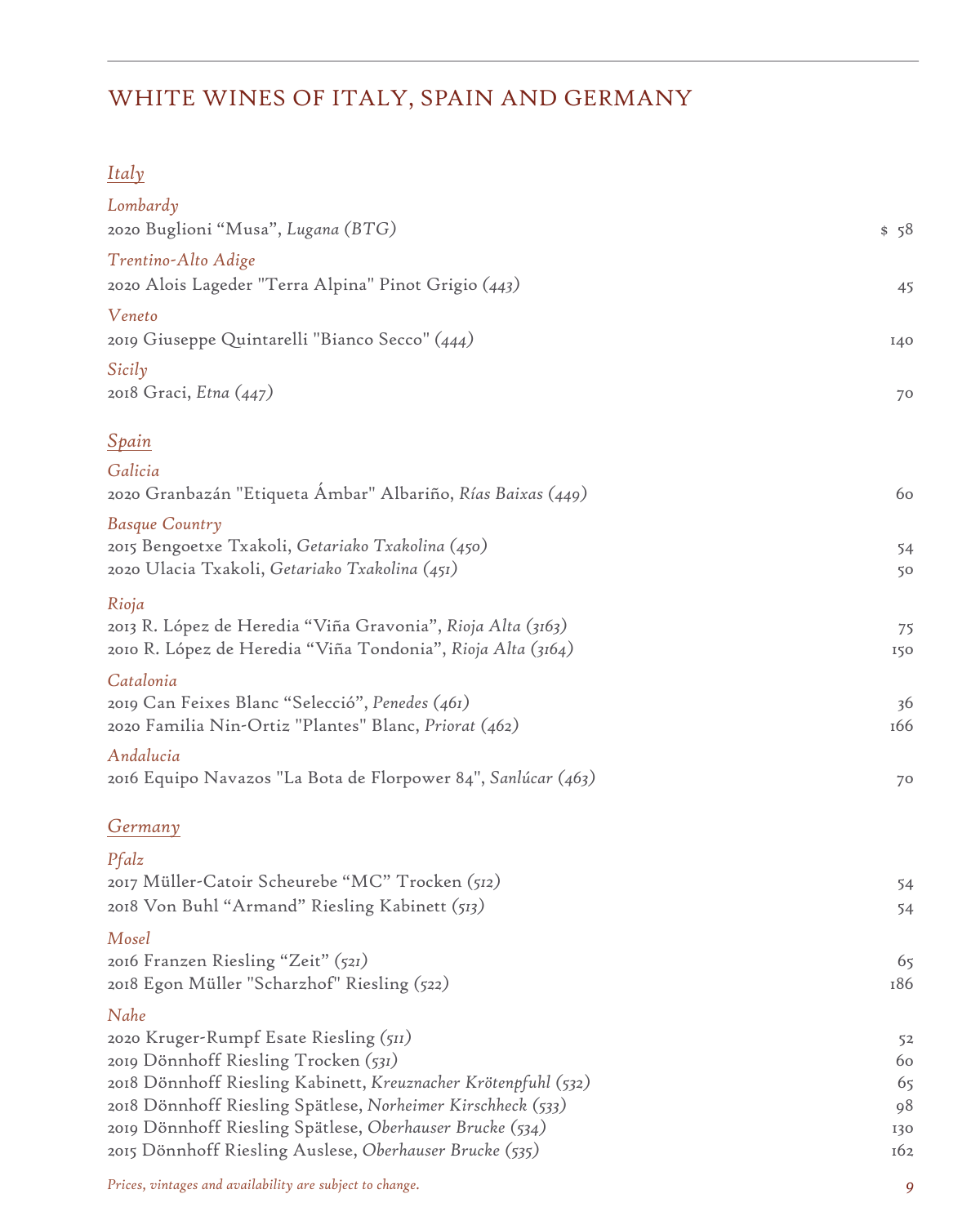# WHITE WINES OF ITALY, SPAIN AND GERMANY

### *Italy*

| Lombardy<br>2020 Buglioni "Musa", Lugana (BTG)                                                                                      | \$58      |
|-------------------------------------------------------------------------------------------------------------------------------------|-----------|
| Trentino-Alto Adige<br>2020 Alois Lageder "Terra Alpina" Pinot Grigio (443)                                                         | 45        |
| Veneto<br>2019 Giuseppe Quintarelli "Bianco Secco" (444)                                                                            | I40       |
| Sicily<br>2018 Graci, Etna (447)                                                                                                    | 70        |
| <u>Spain</u>                                                                                                                        |           |
| Galicia<br>2020 Granbazán "Etiqueta Ambar" Albariño, Rías Baixas (449)                                                              | 60        |
| Basque Country<br>2015 Bengoetxe Txakoli, Getariako Txakolina (450)<br>2020 Ulacia Txakoli, Getariako Txakolina (451)               | 54<br>50  |
| Rioja<br>2013 R. López de Heredia "Viña Gravonia", Rioja Alta (3163)<br>2010 R. López de Heredia "Viña Tondonia", Rioja Alta (3164) | 75<br>150 |
| Catalonia<br>2019 Can Feixes Blanc "Selecció", Penedes (461)<br>2020 Familia Nin-Ortiz "Plantes" Blanc, Priorat (462)               | 36<br>166 |
| Andalucia<br>2016 Equipo Navazos "La Bota de Florpower 84", Sanlúcar (463)                                                          | 70        |
| <u>Germany</u>                                                                                                                      |           |
| Pfalz                                                                                                                               |           |
| 2017 Müller-Catoir Scheurebe "MC" Trocken (512)<br>2018 Von Buhl "Armand" Riesling Kabinett (513)                                   | 54<br>54  |
| Mosel                                                                                                                               |           |
| 2016 Franzen Riesling "Zeit" (521)<br>2018 Egon Müller "Scharzhof" Riesling (522)                                                   | 65<br>186 |
| Nahe                                                                                                                                |           |
| 2020 Kruger-Rumpf Esate Riesling (511)                                                                                              | 52        |
| 2019 Dönnhoff Riesling Trocken (531)<br>2018 Dönnhoff Riesling Kabinett, Kreuznacher Krötenpfuhl (532)                              | 60<br>65  |
| 2018 Dönnhoff Riesling Spätlese, Norheimer Kirschheck (533)                                                                         | 98        |
| 2019 Dönnhoff Riesling Spätlese, Oberhauser Brucke (534)                                                                            | 130       |
| 2015 Dönnhoff Riesling Auslese, Oberhauser Brucke (535)                                                                             | 162       |
|                                                                                                                                     |           |

*Prices, vintages and availability are subject to change. 9*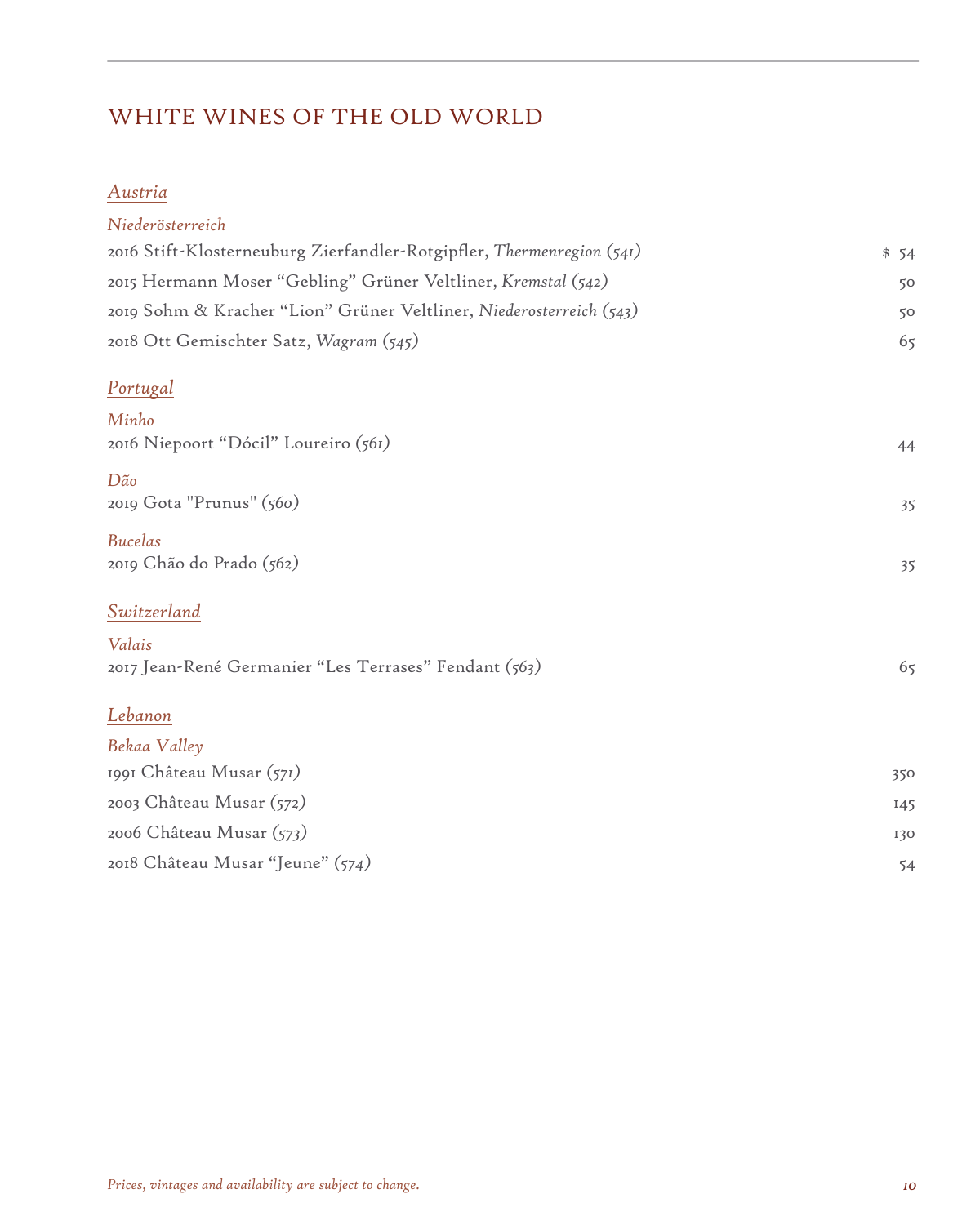# WHITE WINES OF THE OLD WORLD

### *Austria*

| Niederösterreich                                                      |      |
|-----------------------------------------------------------------------|------|
| 2016 Stift-Klosterneuburg Zierfandler-Rotgipfler, Thermenregion (541) | \$54 |
| 2015 Hermann Moser "Gebling" Grüner Veltliner, Kremstal (542)         | 50   |
| 2019 Sohm & Kracher "Lion" Grüner Veltliner, Niederosterreich (543)   | 50   |
| 2018 Ott Gemischter Satz, Wagram (545)                                | 65   |
| <u>Portugal</u>                                                       |      |
| Minho<br>2016 Niepoort "Dócil" Loureiro (561)                         | 44   |
|                                                                       |      |
| Dão<br>2019 Gota "Prunus" (560)                                       | 35   |
| <b>Bucelas</b><br>2019 Chão do Prado (562)                            | 35   |
| Switzerland                                                           |      |
| Valais<br>2017 Jean-René Germanier "Les Terrases" Fendant (563)       | 65   |
| Lebanon                                                               |      |
| Bekaa Valley                                                          |      |
| 1991 Château Musar (571)                                              | 350  |
| 2003 Château Musar (572)                                              | 145  |
| 2006 Château Musar (573)                                              | 130  |
| 2018 Château Musar "Jeune" (574)                                      | 54   |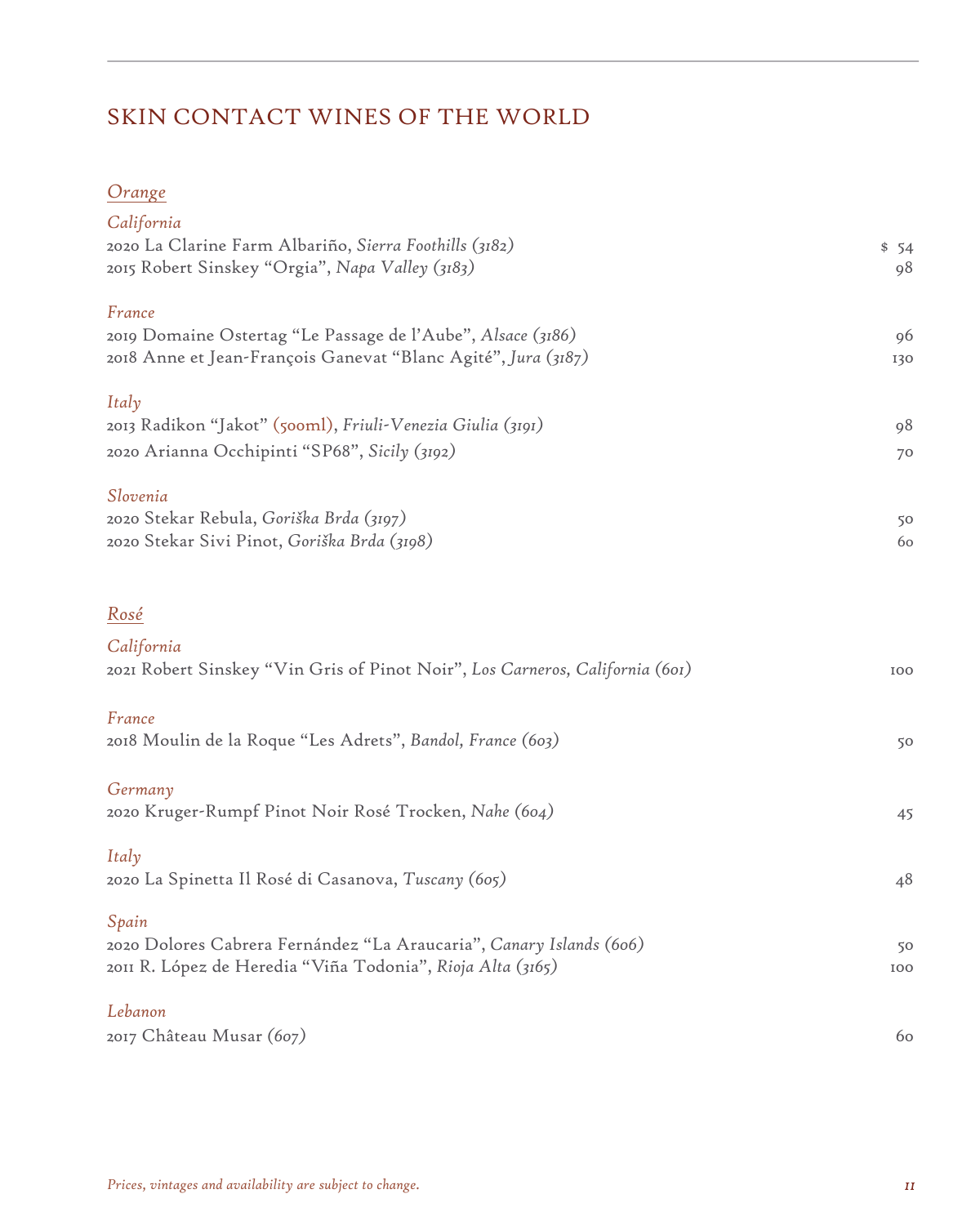# SKIN CONTACT WINES OF THE WORLD

### *Orange*

| California<br>2020 La Clarine Farm Albariño, Sierra Foothills (3182)<br>2015 Robert Sinskey "Orgia", Napa Valley (3183)                        | \$54<br>98 |
|------------------------------------------------------------------------------------------------------------------------------------------------|------------|
| France<br>2019 Domaine Ostertag "Le Passage de l'Aube", Alsace (3186)<br>2018 Anne et Jean-François Ganevat "Blanc Agité", J <i>ura</i> (3187) | 96<br>130  |
| Italy<br>2013 Radikon "Jakot" (500ml), Friuli-Venezia Giulia (3191)<br>2020 Arianna Occhipinti "SP68", Sicily (3192)                           | 98<br>70   |
| Slovenia<br>2020 Stekar Rebula, Goriška Brda (3197)<br>2020 Stekar Sivi Pinot, Goriška Brda (3198)                                             | 50<br>60   |
| Rosé<br>California                                                                                                                             |            |
| 2021 Robert Sinskey "Vin Gris of Pinot Noir", Los Carneros, California (601)                                                                   | 100        |
| France<br>2018 Moulin de la Roque "Les Adrets", Bandol, France (603)                                                                           | 50         |
| Germany<br>2020 Kruger-Rumpf Pinot Noir Rosé Trocken, Nahe (604)                                                                               | 45         |
| Italy<br>2020 La Spinetta Il Rosé di Casanova, Tuscany (605)                                                                                   | 48         |
| Spain<br>2020 Dolores Cabrera Fernández "La Araucaria", Canary Islands (606)<br>2011 R. López de Heredia "Viña Todonia", Rioja Alta (3165)     | 50<br>100  |
| Lebanon                                                                                                                                        |            |
| 2017 Château Musar (607)                                                                                                                       | 60         |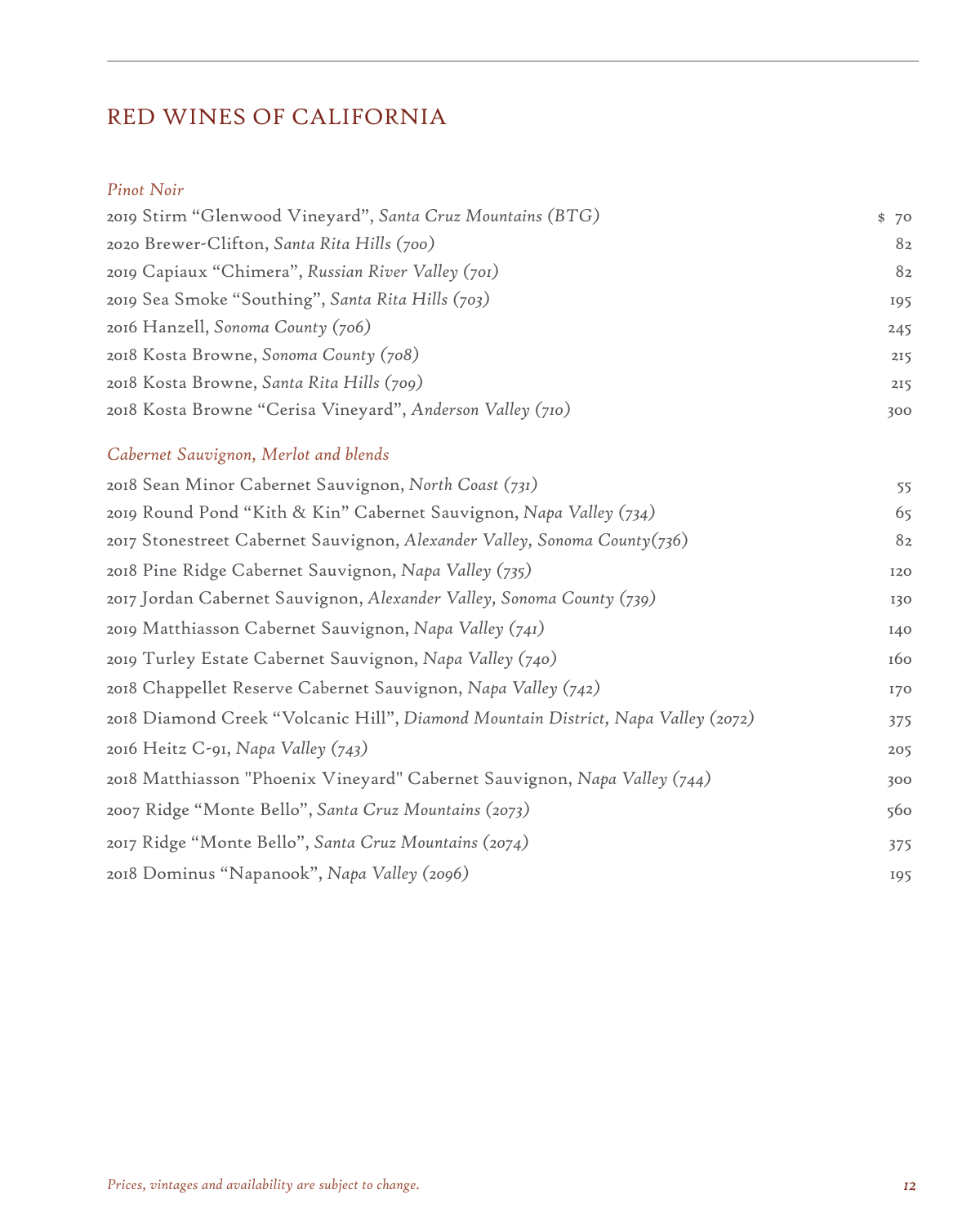# RED WINES OF CALIFORNIA

#### *Pinot Noir*

| 2019 Stirm "Glenwood Vineyard", Santa Cruz Mountains (BTG)                        | \$70 |
|-----------------------------------------------------------------------------------|------|
| 2020 Brewer-Clifton, Santa Rita Hills (700)                                       | 82   |
| 2019 Capiaux "Chimera", Russian River Valley (701)                                | 82   |
| 2019 Sea Smoke "Southing", Santa Rita Hills (703)                                 | 195  |
| 2016 Hanzell, Sonoma County (706)                                                 | 245  |
| 2018 Kosta Browne, Sonoma County (708)                                            | 215  |
| 2018 Kosta Browne, Santa Rita Hills (709)                                         | 215  |
| 2018 Kosta Browne "Cerisa Vineyard", Anderson Valley (710)                        | 300  |
| Cabernet Sauvignon, Merlot and blends                                             |      |
| 2018 Sean Minor Cabernet Sauvignon, North Coast (731)                             | 55   |
| 2019 Round Pond "Kith & Kin" Cabernet Sauvignon, Napa Valley (734)                | 65   |
| 2017 Stonestreet Cabernet Sauvignon, Alexander Valley, Sonoma County(736)         | 82   |
| 2018 Pine Ridge Cabernet Sauvignon, Napa Valley (735)                             | 120  |
| 2017 Jordan Cabernet Sauvignon, Alexander Valley, Sonoma County (739)             | 130  |
| 2019 Matthiasson Cabernet Sauvignon, Napa Valley (741)                            | I40  |
| 2019 Turley Estate Cabernet Sauvignon, Napa Valley (740)                          | 160  |
| 2018 Chappellet Reserve Cabernet Sauvignon, Napa Valley (742)                     | 170  |
| 2018 Diamond Creek "Volcanic Hill", Diamond Mountain District, Napa Valley (2072) | 375  |
| 2016 Heitz C-91, Napa Valley (743)                                                | 205  |
| 2018 Matthiasson "Phoenix Vineyard" Cabernet Sauvignon, Napa Valley (744)         | 300  |
| 2007 Ridge "Monte Bello", Santa Cruz Mountains (2073)                             | 560  |
| 2017 Ridge "Monte Bello", Santa Cruz Mountains (2074)                             | 375  |

2018 Dominus "Napanook", *Napa Valley (2096)* 195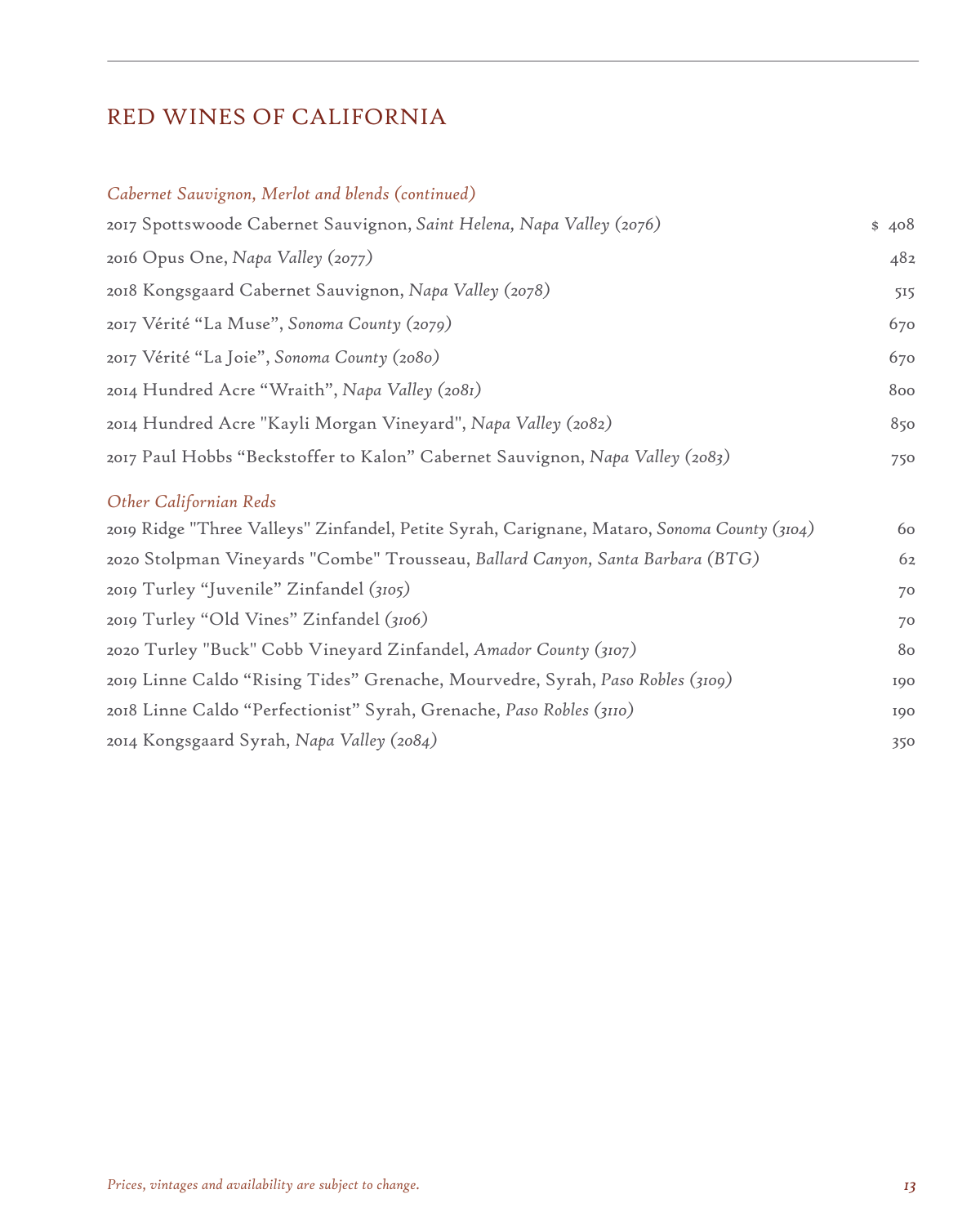## RED WINES OF CALIFORNIA

#### *Cabernet Sauvignon, Merlot and blends (continued)*

| 2017 Spottswoode Cabernet Sauvignon, Saint Helena, Napa Valley (2076)         | \$408 |
|-------------------------------------------------------------------------------|-------|
| 2016 Opus One, Napa Valley (2077)                                             | 482   |
| 2018 Kongsgaard Cabernet Sauvignon, Napa Valley (2078)                        | 515   |
| 2017 Vérité "La Muse", Sonoma County (2079)                                   | 670   |
| 2017 Vérité "La Joie", Sonoma County (2080)                                   | 670   |
| 2014 Hundred Acre "Wraith", Napa Valley (2081)                                | 800   |
| 2014 Hundred Acre "Kayli Morgan Vineyard", Napa Valley (2082)                 | 850   |
| 2017 Paul Hobbs "Beckstoffer to Kalon" Cabernet Sauvignon, Napa Valley (2083) | 750   |

#### *Other Californian Reds*

| 2019 Ridge "Three Valleys" Zinfandel, Petite Syrah, Carignane, Mataro, Sonoma County (3104) | 60  |
|---------------------------------------------------------------------------------------------|-----|
| 2020 Stolpman Vineyards "Combe" Trousseau, Ballard Canyon, Santa Barbara (BTG)              | 62  |
| 2019 Turley "Juvenile" Zinfandel (3105)                                                     | 70  |
| 2019 Turley "Old Vines" Zinfandel (3106)                                                    | 70  |
| 2020 Turley "Buck" Cobb Vineyard Zinfandel, Amador County (3107)                            | 80  |
| 2019 Linne Caldo "Rising Tides" Grenache, Mourvedre, Syrah, Paso Robles (3109)              | 190 |
| 2018 Linne Caldo "Perfectionist" Syrah, Grenache, Paso Robles (3110)                        | 190 |
| 2014 Kongsgaard Syrah, Napa Valley (2084)                                                   | 350 |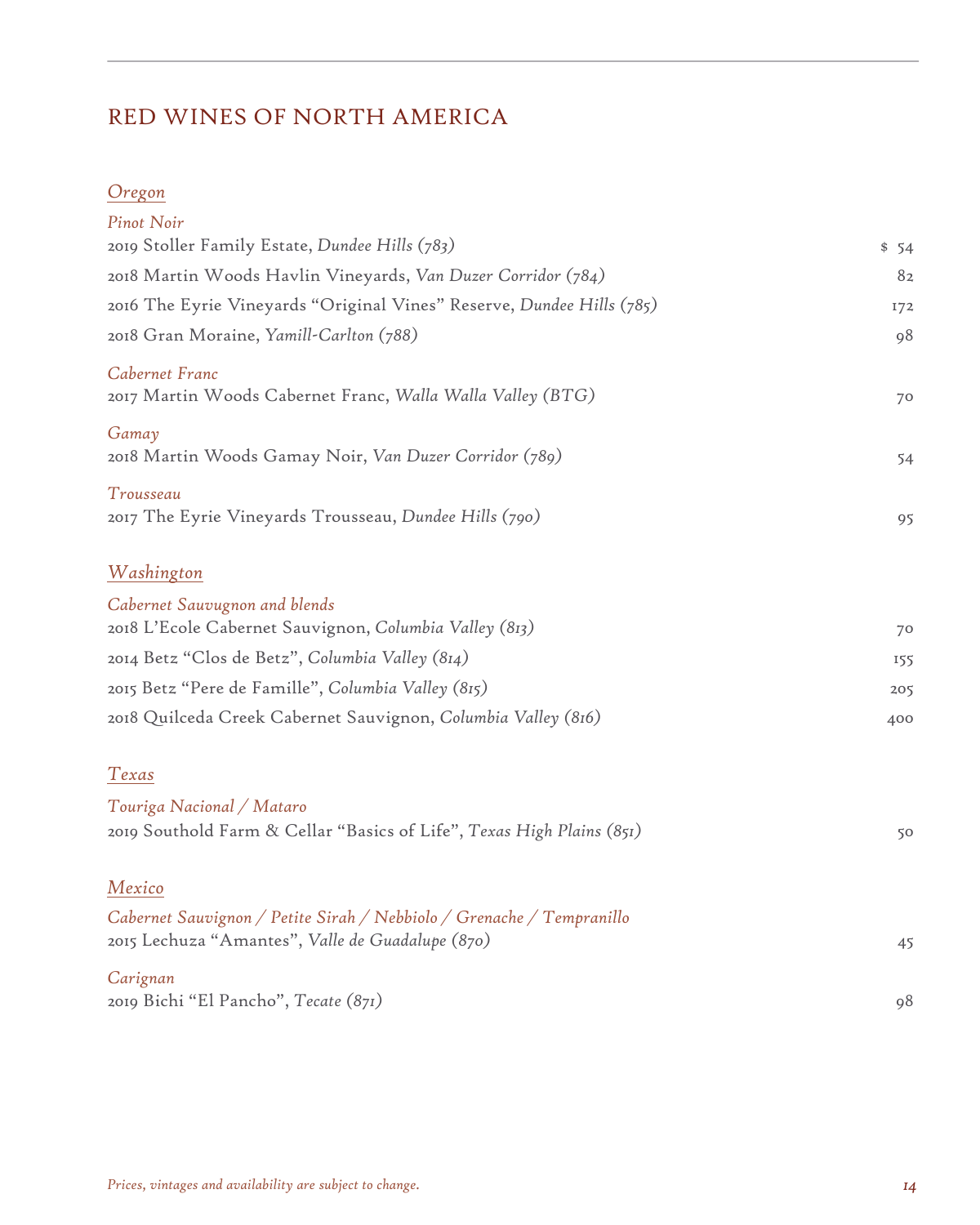# RED WINES OF NORTH AMERICA

### *Oregon*

| <b>Pinot Noir</b><br>2019 Stoller Family Estate, Dundee Hills (783)                                                       | \$54 |
|---------------------------------------------------------------------------------------------------------------------------|------|
| 2018 Martin Woods Havlin Vineyards, Van Duzer Corridor (784)                                                              | 82   |
| 2016 The Eyrie Vineyards "Original Vines" Reserve, Dundee Hills (785)                                                     | 172  |
| 2018 Gran Moraine, Yamill-Carlton (788)                                                                                   | 98   |
| Cabernet Franc<br>2017 Martin Woods Cabernet Franc, Walla Walla Valley (BTG)                                              | 70   |
| Gamay<br>2018 Martin Woods Gamay Noir, Van Duzer Corridor (789)                                                           | 54   |
| Trousseau<br>2017 The Eyrie Vineyards Trousseau, Dundee Hills (790)                                                       | 95   |
| Washington                                                                                                                |      |
| Cabernet Sauvugnon and blends<br>2018 L'Ecole Cabernet Sauvignon, Columbia Valley (813)                                   | 70   |
| 2014 Betz "Clos de Betz", Columbia Valley (814)                                                                           | 155  |
| 2015 Betz "Pere de Famille", Columbia Valley (815)                                                                        | 205  |
| 2018 Quilceda Creek Cabernet Sauvignon, Columbia Valley (816)                                                             | 400  |
| Texas                                                                                                                     |      |
| Touriga Nacional / Mataro<br>2019 Southold Farm & Cellar "Basics of Life", Texas High Plains (851)                        | 50   |
| Mexico                                                                                                                    |      |
| Cabernet Sauvignon / Petite Sirah / Nebbiolo / Grenache / Tempranillo<br>2015 Lechuza "Amantes", Valle de Guadalupe (870) | 45   |
| Carignan<br>2019 Bichi "El Pancho", Tecate (871)                                                                          | 98   |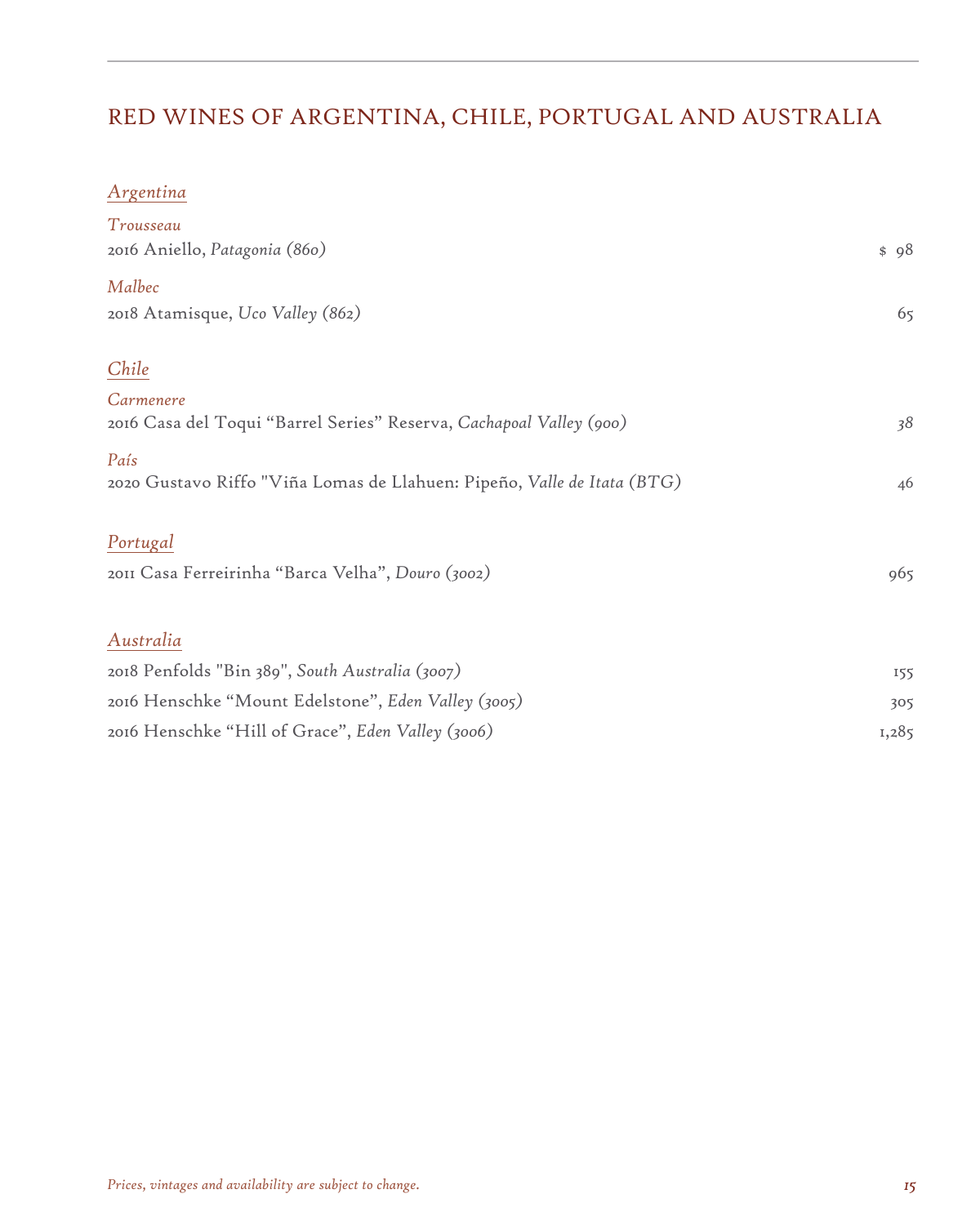# RED WINES OF ARGENTINA, CHILE, PORTUGAL AND AUSTRALIA

### *Argentina*

| Trousseau                                                               |       |
|-------------------------------------------------------------------------|-------|
| 2016 Aniello, Patagonia (860)                                           | \$98  |
| Malbec                                                                  |       |
| 2018 Atamisque, Uco Valley (862)                                        | 65    |
| Chile                                                                   |       |
| Carmenere                                                               |       |
| 2016 Casa del Toqui "Barrel Series" Reserva, Cachapoal Valley (900)     | 38    |
| País                                                                    |       |
| 2020 Gustavo Riffo "Viña Lomas de Llahuen: Pipeño, Valle de Itata (BTG) | 46    |
| Portugal                                                                |       |
| 2011 Casa Ferreirinha "Barca Velha", Douro (3002)                       | 965   |
|                                                                         |       |
| Australia                                                               |       |
| 2018 Penfolds "Bin 389", South Australia (3007)                         | 155   |
| 2016 Henschke "Mount Edelstone", Eden Valley (3005)                     | 305   |
| 2016 Henschke "Hill of Grace", Eden Valley (3006)                       | 1,285 |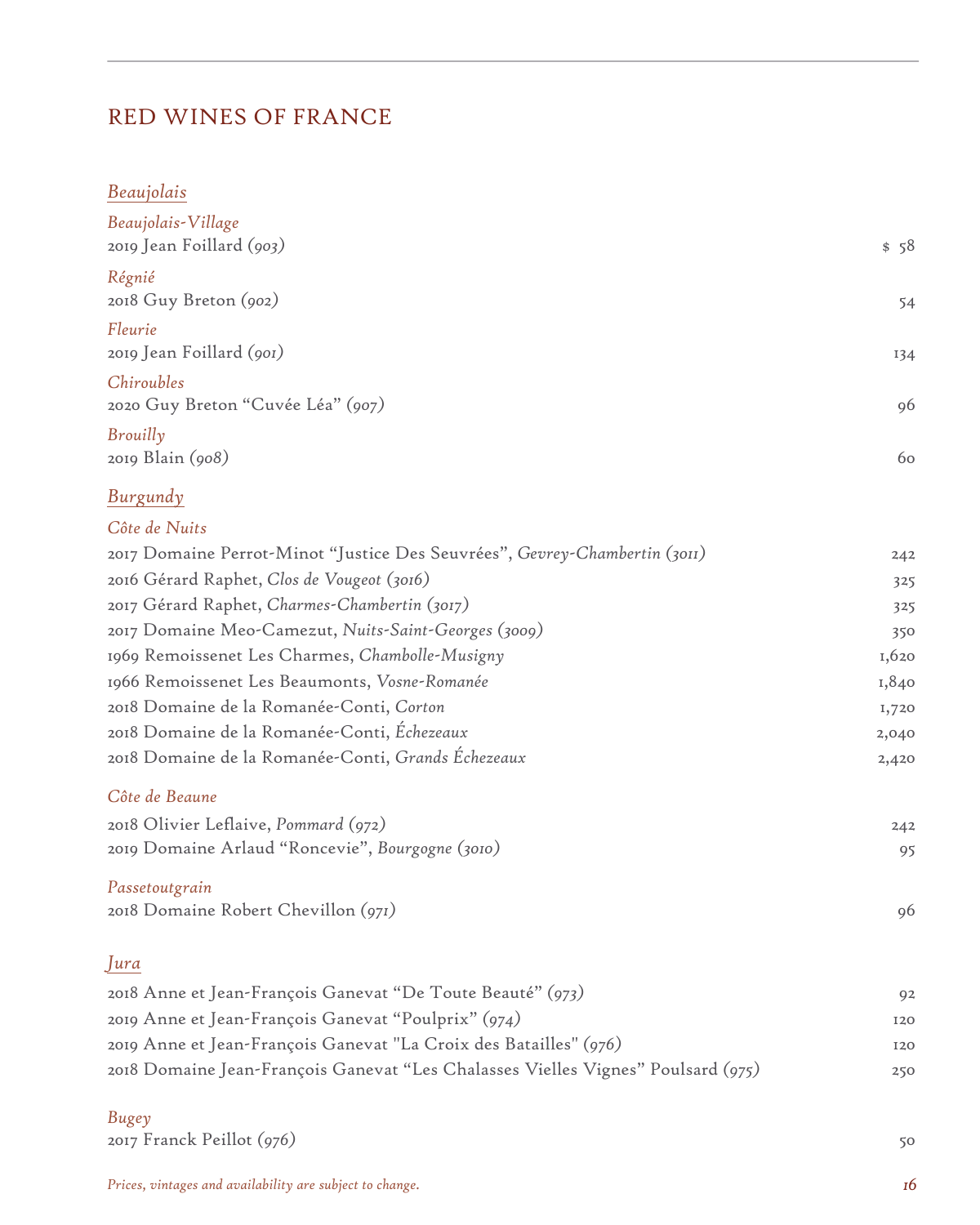### RED WINES OF FRANCE

#### *Beaujolais*

| Beaujolais-Village<br>2019 Jean Foillard (903)  | \$58 |
|-------------------------------------------------|------|
| Régnié<br>2018 Guy Breton (902)                 | 54   |
| Fleurie<br>2019 Jean Foillard (901)             | 134  |
| Chiroubles<br>2020 Guy Breton "Cuvée Léa" (907) | 96   |
| Brouilly<br>2019 Blain (908)                    | 60   |

### *Burgundy*

#### *Côte de Nuits*

| 2017 Domaine Perrot-Minot "Justice Des Seuvrées", Gevrey-Chambertin (3011) | 242   |
|----------------------------------------------------------------------------|-------|
| 2016 Gérard Raphet, Clos de Vougeot (3016)                                 | 325   |
| 2017 Gérard Raphet, Charmes-Chambertin (3017)                              | 325   |
| 2017 Domaine Meo-Camezut, Nuits-Saint-Georges (3009)                       | 350   |
| 1969 Remoissenet Les Charmes, Chambolle-Musigny                            | 1,620 |
| 1966 Remoissenet Les Beaumonts, Vosne-Romanée                              | 1,840 |
| 2018 Domaine de la Romanée-Conti, Corton                                   | 1,720 |
| 2018 Domaine de la Romanée-Conti, Échezeaux                                | 2,040 |
| 2018 Domaine de la Romanée-Conti, Grands Échezeaux                         | 2,420 |
|                                                                            |       |

#### *Côte de Beaune*

| 2018 Olivier Leflaive, Pommard (972)             | 242 |
|--------------------------------------------------|-----|
| 2019 Domaine Arlaud "Roncevie", Bourgogne (3010) |     |

#### *Passetoutgrain*

2018 Domaine Robert Chevillon *(971)* 96

#### *Jura*

| 2018 Anne et Jean-François Ganevat "De Toute Beauté" (973)                       | Q <sub>2</sub> |
|----------------------------------------------------------------------------------|----------------|
| 2019 Anne et Jean-François Ganevat "Poulprix" (974)                              | 120            |
| 2019 Anne et Jean-François Ganevat "La Croix des Batailles" (976)                | 120            |
| 2018 Domaine Jean-François Ganevat "Les Chalasses Vielles Vignes" Poulsard (975) | 250            |

### *Bugey*

2017 Franck Peillot *(976)* 50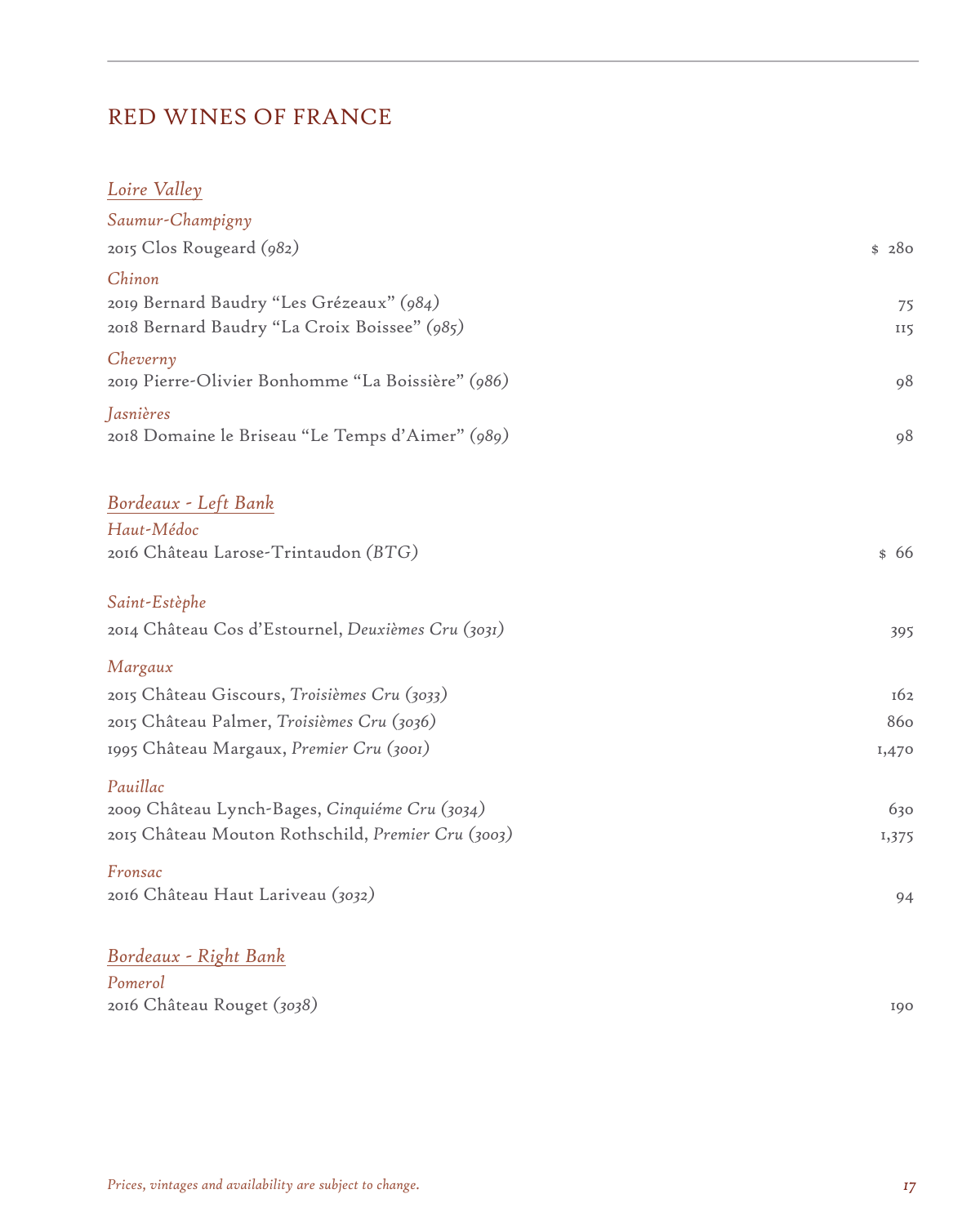## RED WINES OF FRANCE

### *Loire Valley*

| Saumur-Champigny                                   |            |
|----------------------------------------------------|------------|
| 2015 Clos Rougeard (982)                           | \$ 280     |
| Chinon                                             |            |
| 2019 Bernard Baudry "Les Grézeaux" (984)           | 75         |
| 2018 Bernard Baudry "La Croix Boissee" (985)       | <b>II5</b> |
| Cheverny                                           |            |
| 2019 Pierre-Olivier Bonhomme "La Boissière" (986)  | 98         |
| Jasnières                                          |            |
| 2018 Domaine le Briseau "Le Temps d'Aimer" (989)   | 98         |
| Bordeaux - Left Bank                               |            |
| Haut-Médoc                                         |            |
| 2016 Château Larose-Trintaudon (BTG)               | \$66       |
|                                                    |            |
| Saint-Estèphe                                      |            |
| 2014 Château Cos d'Estournel, Deuxièmes Cru (3031) | 395        |
| Margaux                                            |            |
| 2015 Château Giscours, Troisièmes Cru (3033)       | 162        |
| 2015 Château Palmer, Troisièmes Cru (3036)         | 860        |
| 1995 Château Margaux, Premier Cru (3001)           | 1,470      |
| Pauillac                                           |            |
| 2009 Château Lynch-Bages, Cinquiéme Cru (3034)     | 630        |
| 2015 Château Mouton Rothschild, Premier Cru (3003) | 1,375      |
| Fronsac                                            |            |
| 2016 Château Haut Lariveau (3032)                  | 94         |
| Bordeaux - Right Bank                              |            |
| Pomerol                                            |            |

2016 Château Rouget *(3038)* 190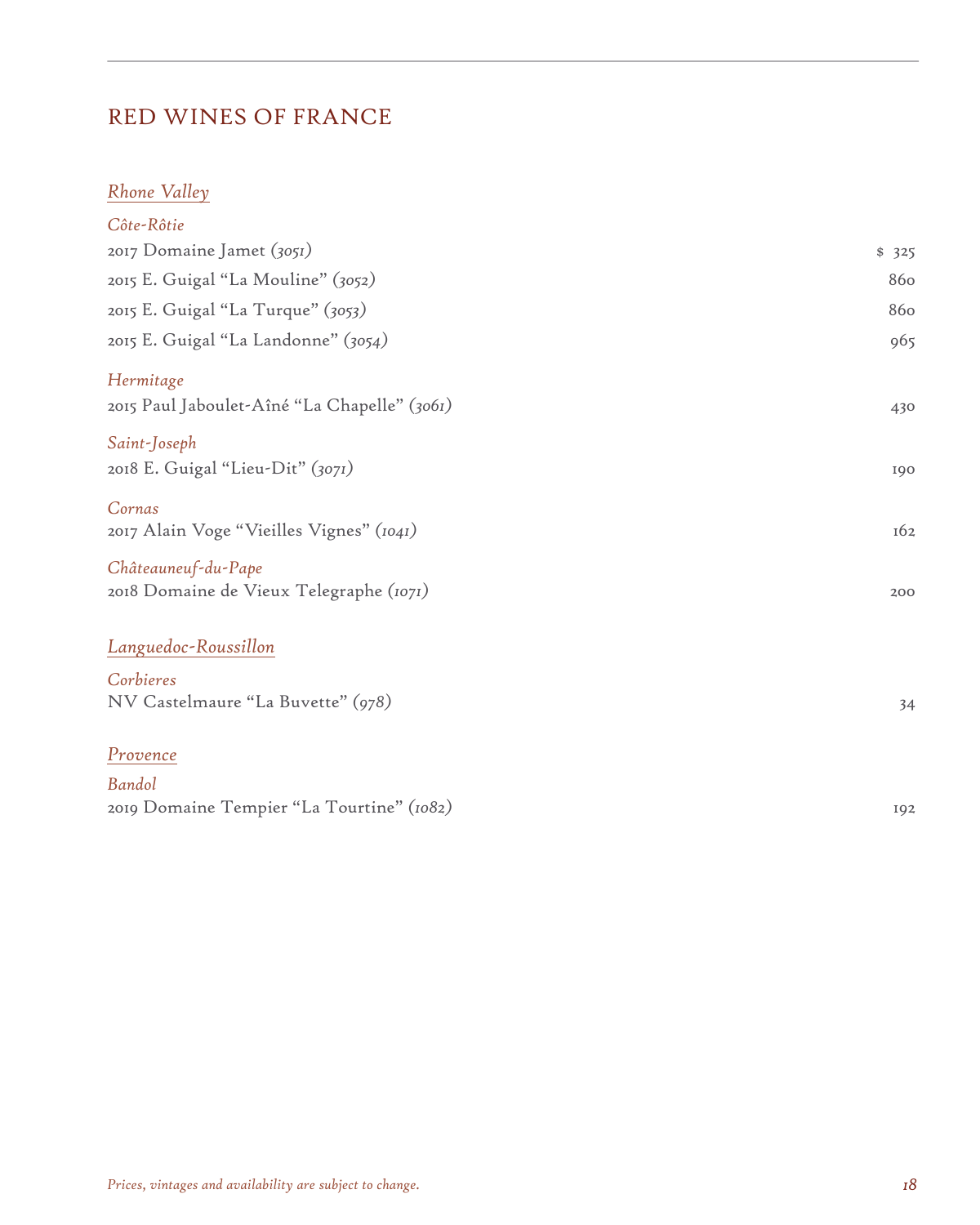### RED WINES OF FRANCE

### *Rhone Valley*

| Côte-Rôtie                                                     |       |
|----------------------------------------------------------------|-------|
| 2017 Domaine Jamet (3051)                                      | \$325 |
| 2015 E. Guigal "La Mouline" (3052)                             | 860   |
| 2015 E. Guigal "La Turque" (3053)                              | 860   |
| 2015 E. Guigal "La Landonne" (3054)                            | 965   |
| Hermitage<br>2015 Paul Jaboulet-Aîné "La Chapelle" (3061)      | 430   |
| Saint-Joseph<br>2018 E. Guigal "Lieu-Dit" (3071)               | 190   |
| Cornas<br>2017 Alain Voge "Vieilles Vignes" (1041)             | 162   |
| Châteauneuf-du-Pape<br>2018 Domaine de Vieux Telegraphe (1071) | 200   |
| Languedoc-Roussillon                                           |       |
| Corbieres                                                      |       |
| NV Castelmaure "La Buvette" (978)                              | 34    |
| Provence                                                       |       |
| Bandol                                                         |       |
| 2019 Domaine Tempier "La Tourtine" (1082)                      | 192   |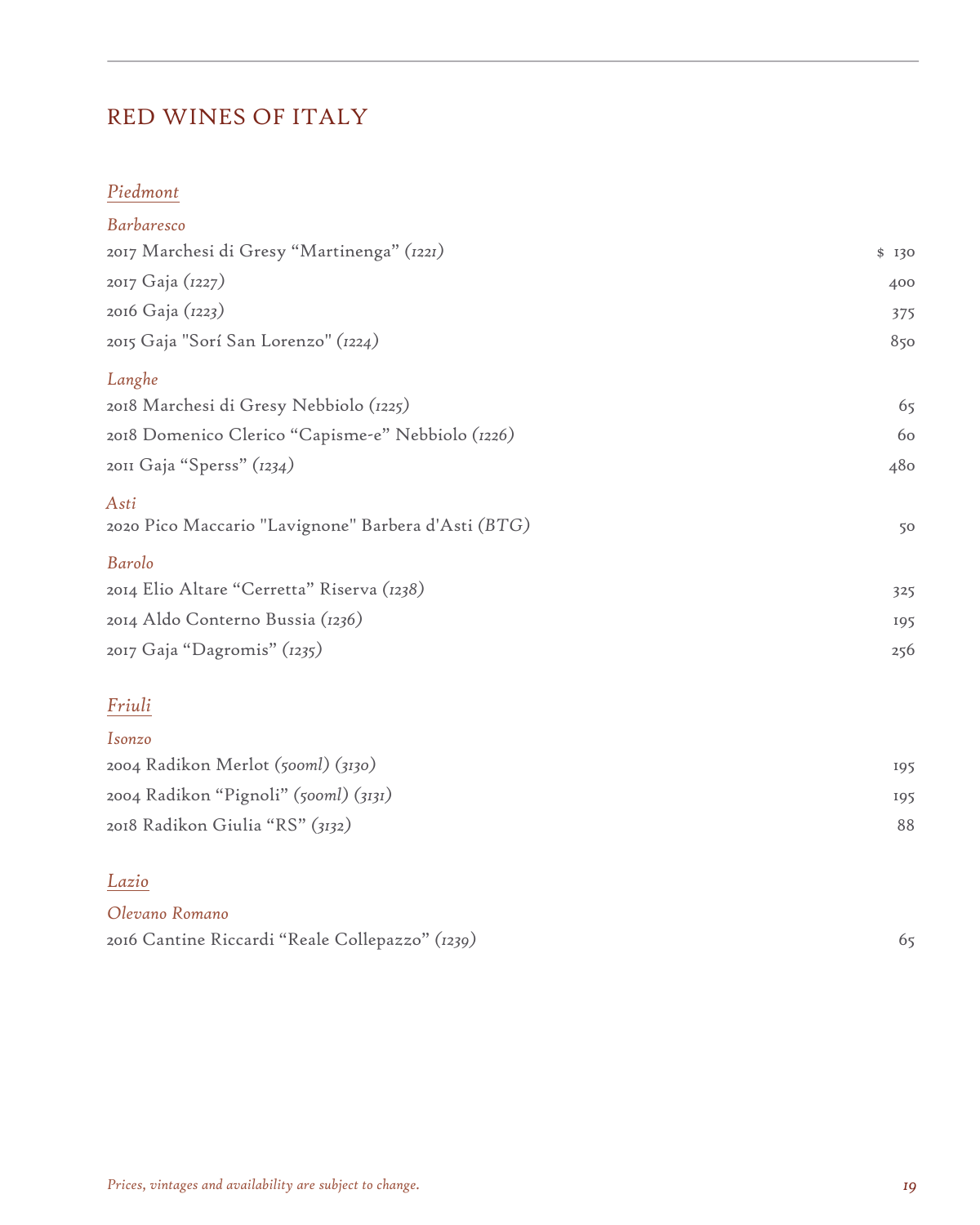# RED WINES OF ITALY

### *Piedmont*

| <b>Barbaresco</b>                                           |       |
|-------------------------------------------------------------|-------|
| 2017 Marchesi di Gresy "Martinenga" (1221)                  | \$130 |
| 2017 Gaja (1227)                                            | 400   |
| 2016 Gaja (1223)                                            | 375   |
| 2015 Gaja "Sorí San Lorenzo" (1224)                         | 850   |
| Langhe                                                      |       |
| 2018 Marchesi di Gresy Nebbiolo (1225)                      | 65    |
| 2018 Domenico Clerico "Capisme-e" Nebbiolo (1226)           | 60    |
| 2011 Gaja "Sperss" (1234)                                   | 480   |
| Asti<br>2020 Pico Maccario "Lavignone" Barbera d'Asti (BTG) | 50    |
| Barolo                                                      |       |
| 2014 Elio Altare "Cerretta" Riserva (1238)                  | 325   |
| 2014 Aldo Conterno Bussia (1236)                            | 195   |
| 2017 Gaja "Dagromis" (1235)                                 | 256   |
| Friuli                                                      |       |
| Isonzo                                                      |       |
| 2004 Radikon Merlot (500ml) (3130)                          | 195   |
| 2004 Radikon "Pignoli" (500ml) (3131)                       | 195   |
| 2018 Radikon Giulia "RS" (3132)                             | 88    |

#### *Lazio*

| Olevano Romano                                  |  |
|-------------------------------------------------|--|
| 2016 Cantine Riccardi "Reale Collepazzo" (1239) |  |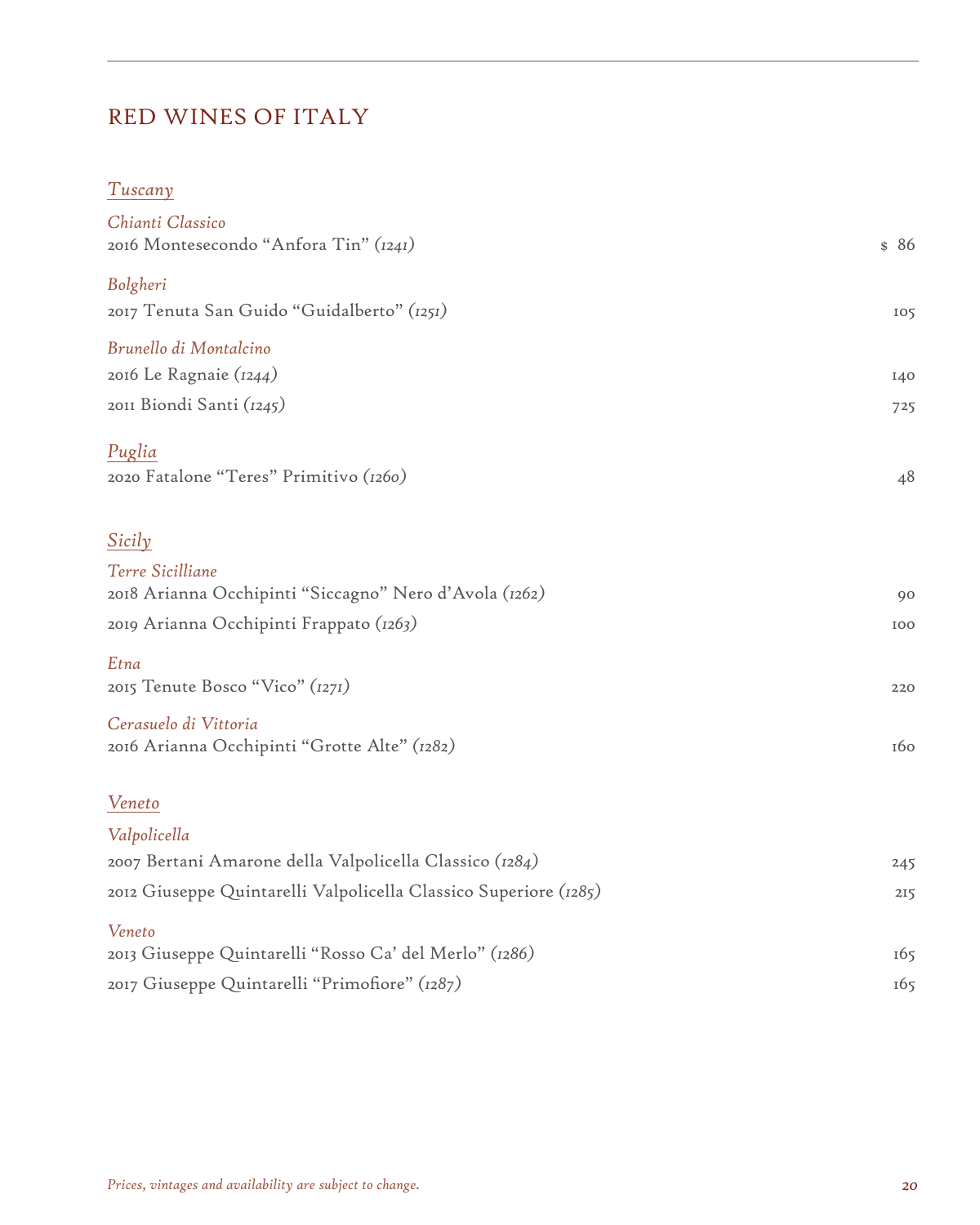# RED WINES OF ITALY

| Tuscany                                                          |      |
|------------------------------------------------------------------|------|
| Chianti Classico<br>2016 Montesecondo "Anfora Tin" (1241)        | \$86 |
| Bolgheri<br>2017 Tenuta San Guido "Guidalberto" (1251)           | 105  |
| Brunello di Montalcino                                           |      |
| 2016 Le Ragnaie (1244)                                           | I40  |
| 2011 Biondi Santi (1245)                                         | 725  |
| Puglia                                                           |      |
| 2020 Fatalone "Teres" Primitivo (1260)                           | 48   |
|                                                                  |      |
| Sicily                                                           |      |
| Terre Sicilliane                                                 |      |
| 2018 Arianna Occhipinti "Siccagno" Nero d'Avola (1262)           | 90   |
| 2019 Arianna Occhipinti Frappato (1263)                          | 100  |
| Etna                                                             |      |
| 2015 Tenute Bosco "Vico" (1271)                                  | 220  |
| Cerasuelo di Vittoria                                            |      |
| 2016 Arianna Occhipinti "Grotte Alte" (1282)                     | 160  |
| Veneto                                                           |      |
| Valpolicella                                                     |      |
| 2007 Bertani Amarone della Valpolicella Classico (1284)          | 245  |
| 2012 Giuseppe Quintarelli Valpolicella Classico Superiore (1285) | 215  |
| Veneto                                                           |      |
| 2013 Giuseppe Quintarelli "Rosso Ca' del Merlo" (1286)           | 165  |
| 2017 Giuseppe Quintarelli "Primofiore" (1287)                    | 165  |
|                                                                  |      |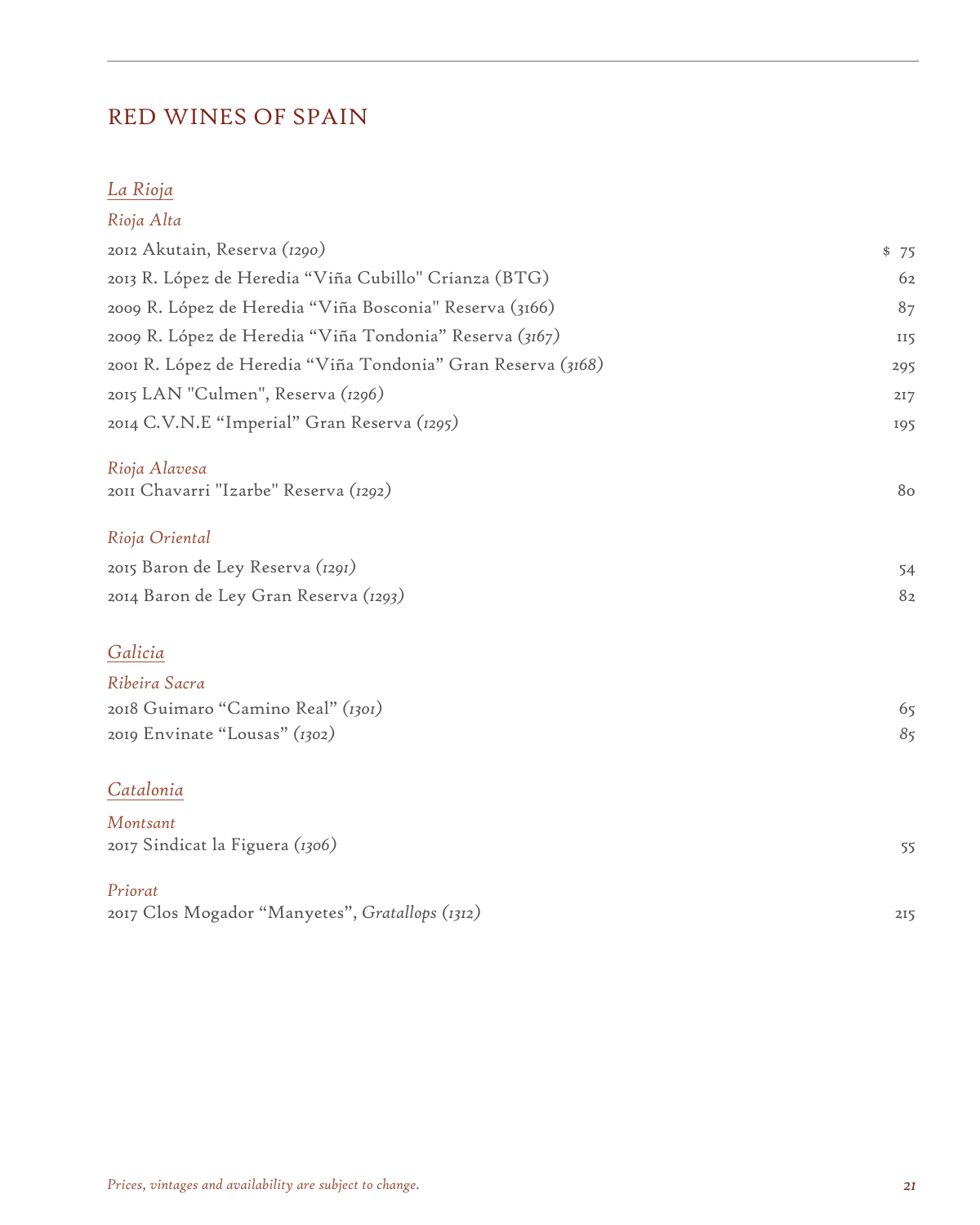## RED WINES OF SPAIN

### *La Rioja*

| Rioja Alta                                                   |            |
|--------------------------------------------------------------|------------|
| 2012 Akutain, Reserva (1290)                                 | \$75       |
| 2013 R. López de Heredia "Viña Cubillo" Crianza (BTG)        | 62         |
| 2009 R. López de Heredia "Viña Bosconia" Reserva (3166)      | 87         |
| 2009 R. López de Heredia "Viña Tondonia" Reserva (3167)      | <b>II5</b> |
| 2001 R. López de Heredia "Viña Tondonia" Gran Reserva (3168) | 295        |
| 2015 LAN "Culmen", Reserva (1296)                            | 217        |
| 2014 C.V.N.E "Imperial" Gran Reserva (1295)                  | 195        |
| Rioja Alavesa<br>2011 Chavarri "Izarbe" Reserva (1292)       | 80         |
| Rioja Oriental                                               |            |
| 2015 Baron de Ley Reserva (1291)                             | 54         |
| 2014 Baron de Ley Gran Reserva (1293)                        | 82         |
| Galicia                                                      |            |
| Ribeira Sacra                                                |            |
| 2018 Guimaro "Camino Real" (1301)                            | 65         |
| 2019 Envinate "Lousas" (1302)                                | 85         |
| Catalonia                                                    |            |
| Montsant<br>2017 Sindicat la Figuera (1306)                  | 55         |
| Priorat<br>2017 Clos Mogador "Manyetes", Gratallops (1312)   | 215        |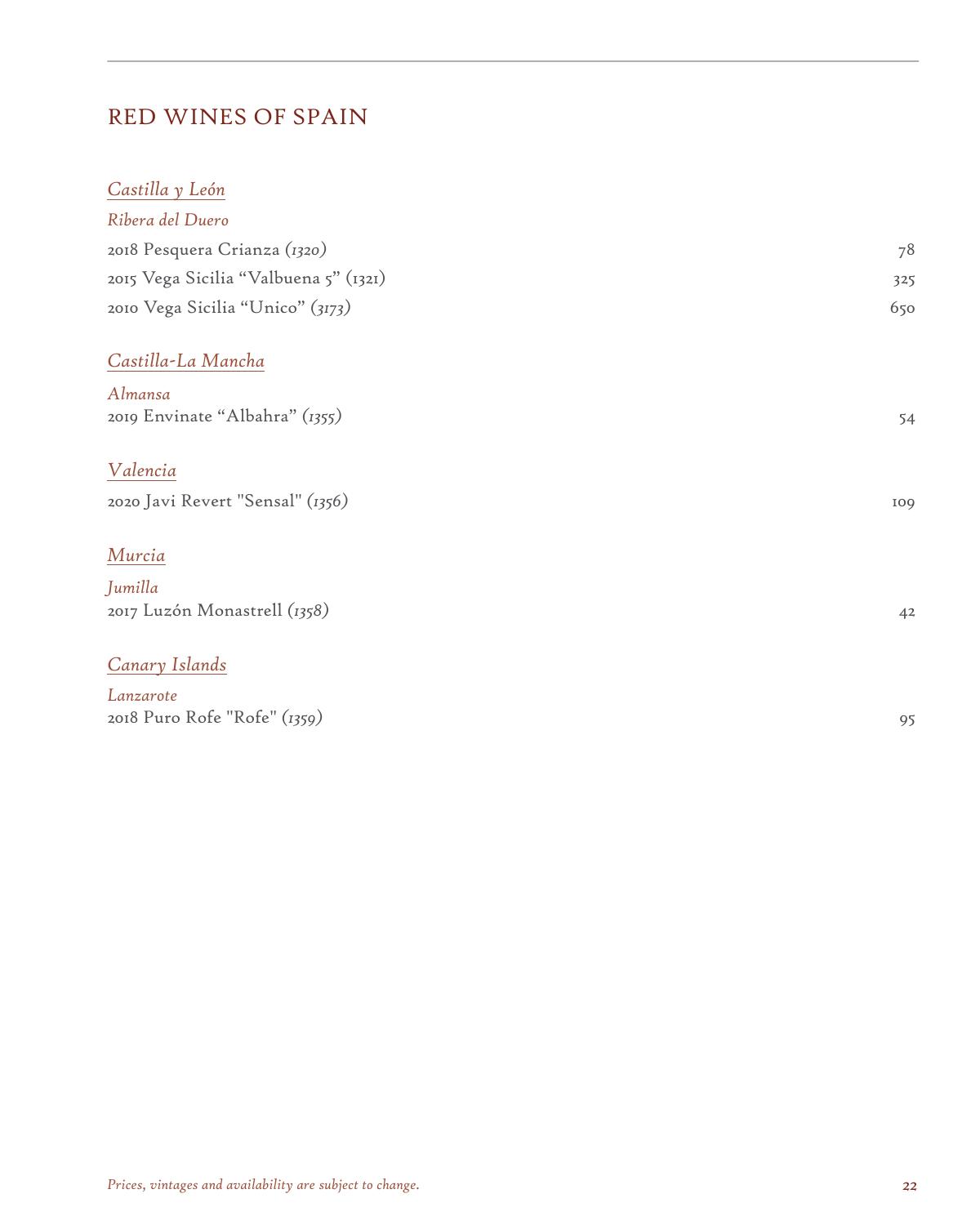## RED WINES OF SPAIN

| Castilla y León                       |     |
|---------------------------------------|-----|
| Ribera del Duero                      |     |
| 2018 Pesquera Crianza (1320)          | 78  |
| 2015 Vega Sicilia "Valbuena 5" (1321) | 325 |
| 2010 Vega Sicilia "Unico" (3173)      | 650 |
| Castilla-La Mancha                    |     |
| Almansa                               |     |
| 2019 Envinate "Albahra" (1355)        | 54  |
| Valencia                              |     |
| 2020 Javi Revert "Sensal" (1356)      | 109 |
| Murcia                                |     |
| Jumilla                               |     |
| 2017 Luzón Monastrell (1358)          | 42  |
| Canary Islands                        |     |
| Lanzarote                             |     |
| 2018 Puro Rofe "Rofe" (1359)          | 95  |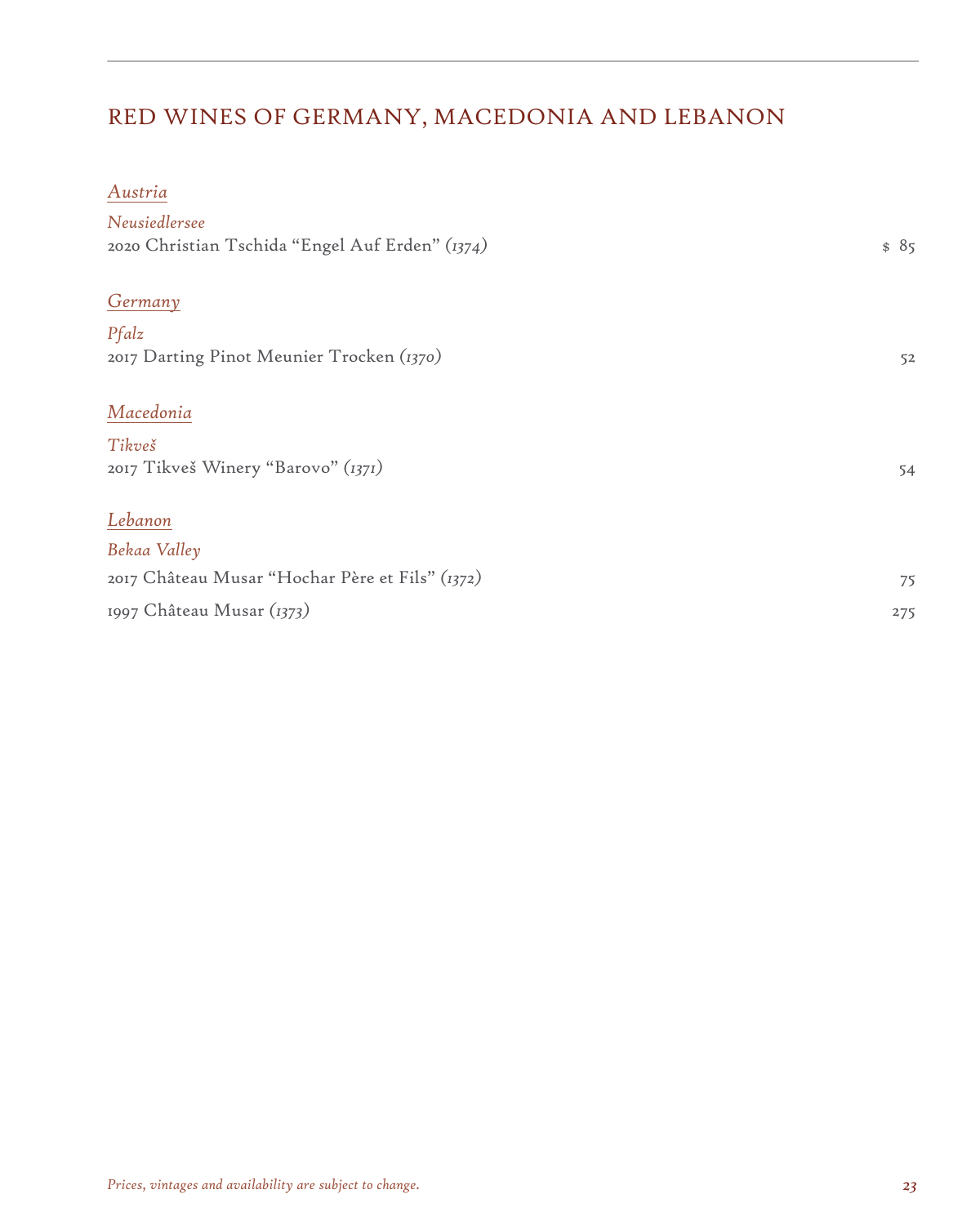# RED WINES OF GERMANY, MACEDONIA AND LEBANON

#### *Austria*

| Neusiedlersee<br>2020 Christian Tschida "Engel Auf Erden" (1374) | \$85 |
|------------------------------------------------------------------|------|
| Germany                                                          |      |
| Pfalz                                                            |      |
| 2017 Darting Pinot Meunier Trocken (1370)                        | 52   |
| Macedonia                                                        |      |
| Tikveš                                                           |      |
| 2017 Tikveš Winery "Barovo" (1371)                               | 54   |
| Lebanon                                                          |      |
| Bekaa Valley                                                     |      |
| 2017 Château Musar "Hochar Père et Fils" (1372)                  | 75   |
| 1997 Château Musar (1373)                                        | 275  |
|                                                                  |      |